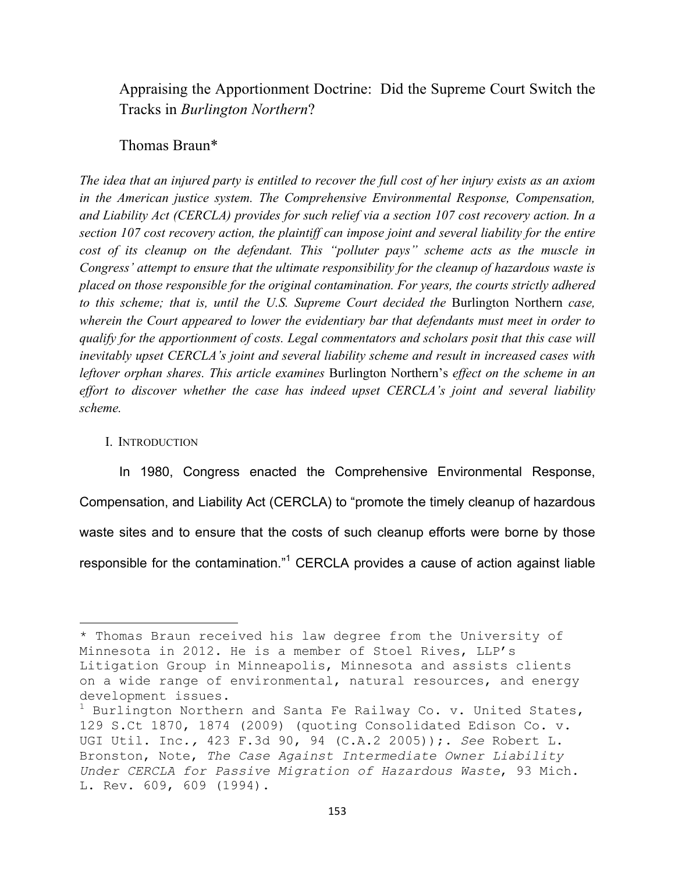Appraising the Apportionment Doctrine: Did the Supreme Court Switch the Tracks in *Burlington Northern*?

# Thomas Braun\*

*The idea that an injured party is entitled to recover the full cost of her injury exists as an axiom in the American justice system. The Comprehensive Environmental Response, Compensation, and Liability Act (CERCLA) provides for such relief via a section 107 cost recovery action. In a section 107 cost recovery action, the plaintiff can impose joint and several liability for the entire cost of its cleanup on the defendant. This "polluter pays" scheme acts as the muscle in Congress' attempt to ensure that the ultimate responsibility for the cleanup of hazardous waste is placed on those responsible for the original contamination. For years, the courts strictly adhered to this scheme; that is, until the U.S. Supreme Court decided the* Burlington Northern *case, wherein the Court appeared to lower the evidentiary bar that defendants must meet in order to qualify for the apportionment of costs. Legal commentators and scholars posit that this case will inevitably upset CERCLA's joint and several liability scheme and result in increased cases with leftover orphan shares. This article examines* Burlington Northern's *effect on the scheme in an effort to discover whether the case has indeed upset CERCLA's joint and several liability scheme.*

#### I. INTRODUCTION

!!!!!!!!!!!!!!!!!!!!!!!!!!!!!!!!!!!!!!!!!!!!!!!!!!!!!!!!!!!!

In 1980, Congress enacted the Comprehensive Environmental Response, Compensation, and Liability Act (CERCLA) to "promote the timely cleanup of hazardous waste sites and to ensure that the costs of such cleanup efforts were borne by those responsible for the contamination."<sup>1</sup> CERCLA provides a cause of action against liable

<sup>\*</sup> Thomas Braun received his law degree from the University of Minnesota in 2012. He is a member of Stoel Rives, LLP's Litigation Group in Minneapolis, Minnesota and assists clients on a wide range of environmental, natural resources, and energy development issues.

 $^1$  Burlington Northern and Santa Fe Railway Co. v. United States, 129 S.Ct 1870, 1874 (2009) (quoting Consolidated Edison Co. v. UGI Util. Inc*.,* 423 F.3d 90, 94 (C.A.2 2005));. *See* Robert L. Bronston, Note, *The Case Against Intermediate Owner Liability Under CERCLA for Passive Migration of Hazardous Waste*, 93 Mich. L. Rev. 609, 609 (1994).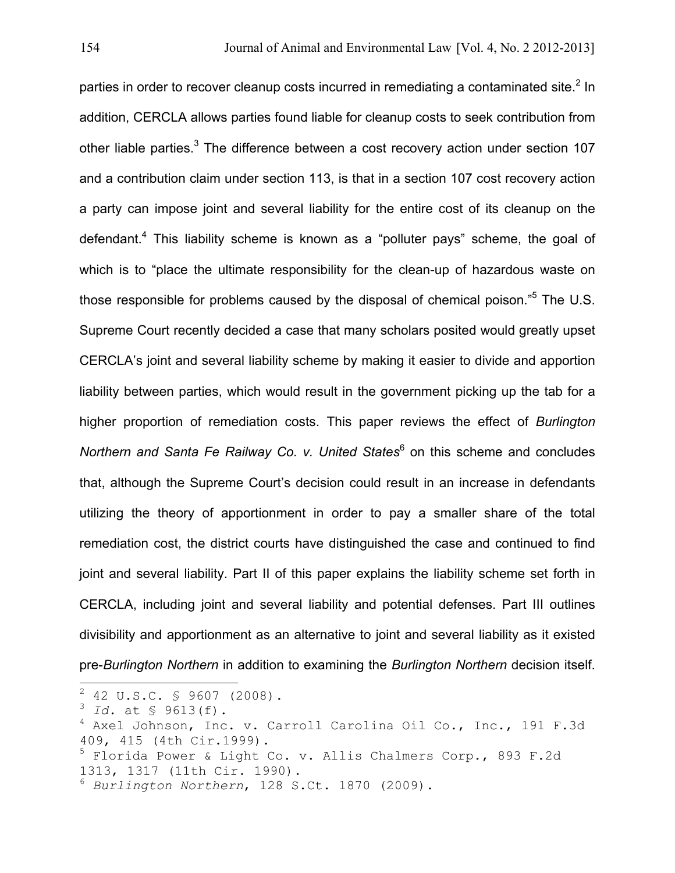parties in order to recover cleanup costs incurred in remediating a contaminated site.<sup>2</sup> In addition, CERCLA allows parties found liable for cleanup costs to seek contribution from other liable parties. $3$  The difference between a cost recovery action under section 107 and a contribution claim under section 113, is that in a section 107 cost recovery action a party can impose joint and several liability for the entire cost of its cleanup on the defendant.<sup>4</sup> This liability scheme is known as a "polluter pays" scheme, the goal of which is to "place the ultimate responsibility for the clean-up of hazardous waste on those responsible for problems caused by the disposal of chemical poison."<sup>5</sup> The U.S. Supreme Court recently decided a case that many scholars posited would greatly upset CERCLA's joint and several liability scheme by making it easier to divide and apportion liability between parties, which would result in the government picking up the tab for a higher proportion of remediation costs. This paper reviews the effect of *Burlington*  Northern and Santa Fe Railway Co. v. United States<sup>6</sup> on this scheme and concludes that, although the Supreme Court's decision could result in an increase in defendants utilizing the theory of apportionment in order to pay a smaller share of the total remediation cost, the district courts have distinguished the case and continued to find joint and several liability. Part II of this paper explains the liability scheme set forth in CERCLA, including joint and several liability and potential defenses. Part III outlines divisibility and apportionment as an alternative to joint and several liability as it existed pre-*Burlington Northern* in addition to examining the *Burlington Northern* decision itself.

 $\frac{1}{2}$  42 U.S.C. § 9607 (2008).

<sup>3</sup> *Id.* at § 9613(f).

<sup>4</sup> Axel Johnson, Inc. v. Carroll Carolina Oil Co., Inc., 191 F.3d 409, 415 (4th Cir.1999).

<sup>&</sup>lt;sup>5</sup> Florida Power & Light Co. v. Allis Chalmers Corp., 893 F.2d 1313, 1317 (11th Cir. 1990).

<sup>6</sup> *Burlington Northern*, 128 S.Ct. 1870 (2009).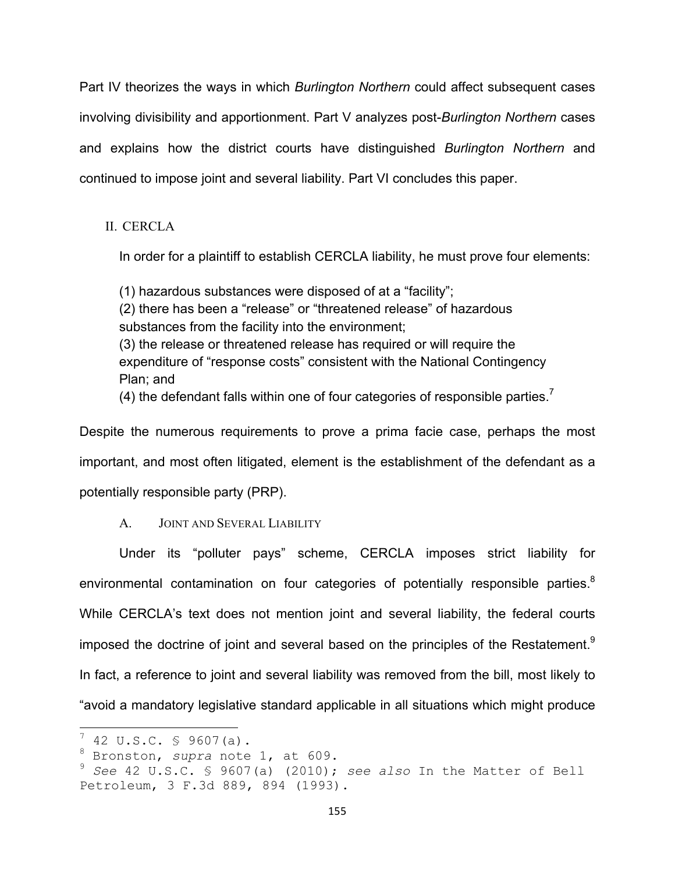Part IV theorizes the ways in which *Burlington Northern* could affect subsequent cases involving divisibility and apportionment. Part V analyzes post-*Burlington Northern* cases and explains how the district courts have distinguished *Burlington Northern* and continued to impose joint and several liability. Part VI concludes this paper.

II. CERCLA

In order for a plaintiff to establish CERCLA liability, he must prove four elements:

(1) hazardous substances were disposed of at a "facility"; (2) there has been a "release" or "threatened release" of hazardous substances from the facility into the environment; (3) the release or threatened release has required or will require the expenditure of "response costs" consistent with the National Contingency Plan; and (4) the defendant falls within one of four categories of responsible parties.<sup>7</sup>

Despite the numerous requirements to prove a prima facie case, perhaps the most important, and most often litigated, element is the establishment of the defendant as a potentially responsible party (PRP).

A. JOINT AND SEVERAL LIABILITY

Under its "polluter pays" scheme, CERCLA imposes strict liability for environmental contamination on four categories of potentially responsible parties.<sup>8</sup> While CERCLA's text does not mention joint and several liability, the federal courts imposed the doctrine of joint and several based on the principles of the Restatement.<sup>9</sup> In fact, a reference to joint and several liability was removed from the bill, most likely to "avoid a mandatory legislative standard applicable in all situations which might produce

 $\frac{1}{7}$  42 U.S.C. § 9607(a).

<sup>8</sup> Bronston, *supra* note 1, at 609.

<sup>9</sup> *See* 42 U.S.C. § 9607(a) (2010); *see also* In the Matter of Bell Petroleum, 3 F.3d 889, 894 (1993).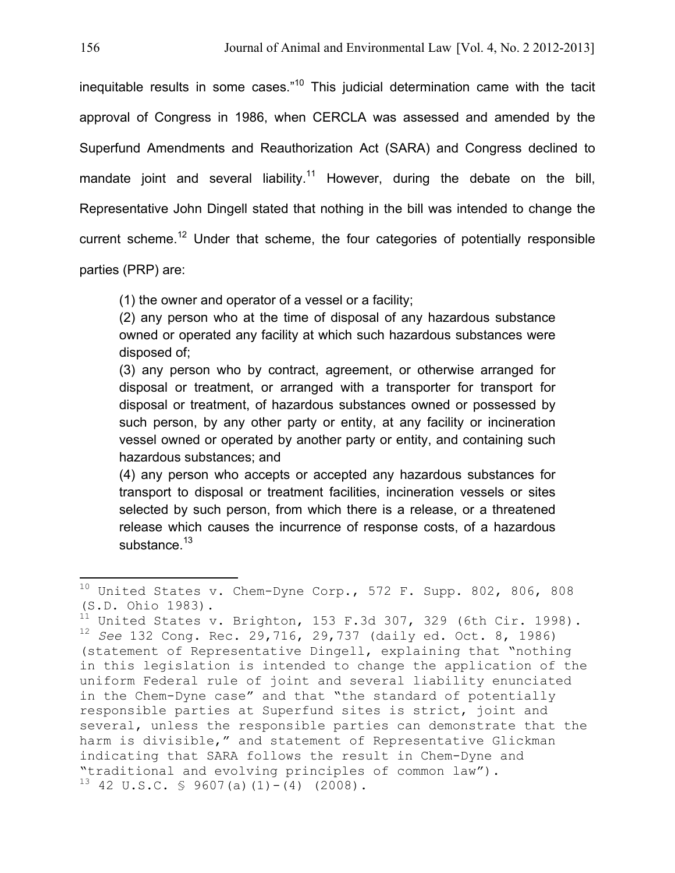inequitable results in some cases." $10$  This judicial determination came with the tacit approval of Congress in 1986, when CERCLA was assessed and amended by the Superfund Amendments and Reauthorization Act (SARA) and Congress declined to mandate joint and several liability.<sup>11</sup> However, during the debate on the bill, Representative John Dingell stated that nothing in the bill was intended to change the current scheme.<sup>12</sup> Under that scheme, the four categories of potentially responsible parties (PRP) are:

(1) the owner and operator of a vessel or a facility;

(2) any person who at the time of disposal of any hazardous substance owned or operated any facility at which such hazardous substances were disposed of;

(3) any person who by contract, agreement, or otherwise arranged for disposal or treatment, or arranged with a transporter for transport for disposal or treatment, of hazardous substances owned or possessed by such person, by any other party or entity, at any facility or incineration vessel owned or operated by another party or entity, and containing such hazardous substances; and

(4) any person who accepts or accepted any hazardous substances for transport to disposal or treatment facilities, incineration vessels or sites selected by such person, from which there is a release, or a threatened release which causes the incurrence of response costs, of a hazardous substance.<sup>13</sup>

 $10$  United States v. Chem-Dyne Corp., 572 F. Supp. 802, 806, 808 (S.D. Ohio 1983).

 $11$  United States v. Brighton, 153 F.3d 307, 329 (6th Cir. 1998). <sup>12</sup> *See* 132 Cong. Rec. 29,716, 29,737 (daily ed. Oct. 8, 1986) (statement of Representative Dingell, explaining that "nothing in this legislation is intended to change the application of the uniform Federal rule of joint and several liability enunciated in the Chem-Dyne case" and that "the standard of potentially responsible parties at Superfund sites is strict, joint and several, unless the responsible parties can demonstrate that the harm is divisible," and statement of Representative Glickman indicating that SARA follows the result in Chem-Dyne and "traditional and evolving principles of common law").  $13$  42 U.S.C. § 9607(a)(1)-(4) (2008).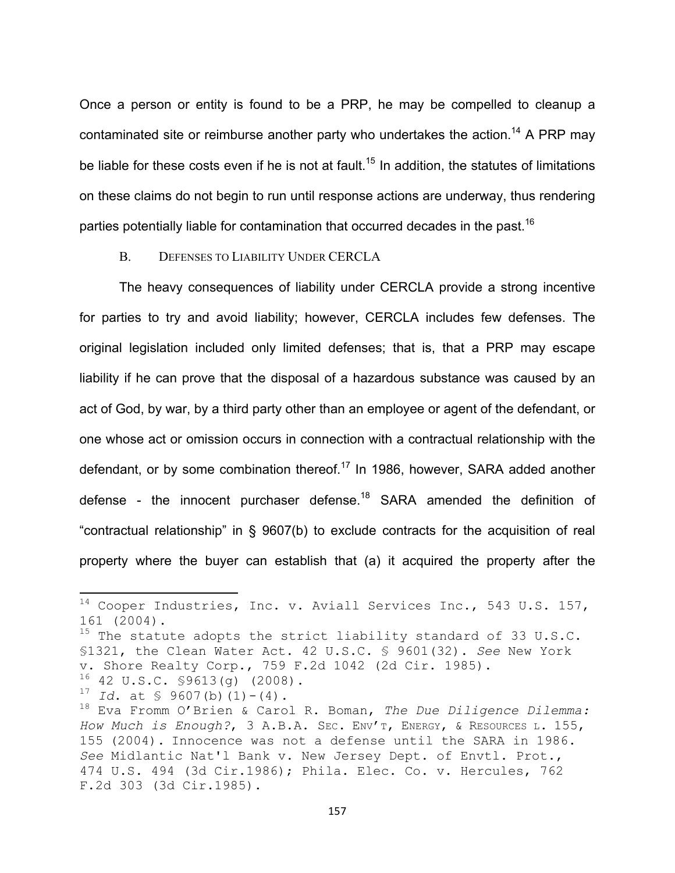Once a person or entity is found to be a PRP, he may be compelled to cleanup a contaminated site or reimburse another party who undertakes the action.<sup>14</sup> A PRP may be liable for these costs even if he is not at fault.<sup>15</sup> In addition, the statutes of limitations on these claims do not begin to run until response actions are underway, thus rendering parties potentially liable for contamination that occurred decades in the past.<sup>16</sup>

### B. DEFENSES TO LIABILITY UNDER CERCLA

The heavy consequences of liability under CERCLA provide a strong incentive for parties to try and avoid liability; however, CERCLA includes few defenses. The original legislation included only limited defenses; that is, that a PRP may escape liability if he can prove that the disposal of a hazardous substance was caused by an act of God, by war, by a third party other than an employee or agent of the defendant, or one whose act or omission occurs in connection with a contractual relationship with the defendant, or by some combination thereof.<sup>17</sup> In 1986, however, SARA added another defense - the innocent purchaser defense.<sup>18</sup> SARA amended the definition of "contractual relationship" in § 9607(b) to exclude contracts for the acquisition of real property where the buyer can establish that (a) it acquired the property after the

 $14$  Cooper Industries, Inc. v. Aviall Services Inc., 543 U.S. 157, 161 (2004).

 $15$  The statute adopts the strict liability standard of 33 U.S.C. §1321, the Clean Water Act. 42 U.S.C. § 9601(32). *See* New York v. Shore Realty Corp., 759 F.2d 1042 (2d Cir. 1985).  $16$  42 U.S.C. \$9613(g) (2008).

<sup>&</sup>lt;sup>17</sup> *Id.* at  $\frac{1}{5}$  9607(b)(1)-(4).

<sup>18</sup> Eva Fromm O'Brien & Carol R. Boman, *The Due Diligence Dilemma: How Much is Enough?*, 3 A.B.A. SEC. ENV'T, ENERGY, & RESOURCES L. 155, 155 (2004). Innocence was not a defense until the SARA in 1986. *See* Midlantic Nat'l Bank v. New Jersey Dept. of Envtl. Prot., 474 U.S. 494 (3d Cir.1986); Phila. Elec. Co. v. Hercules, 762 F.2d 303 (3d Cir.1985).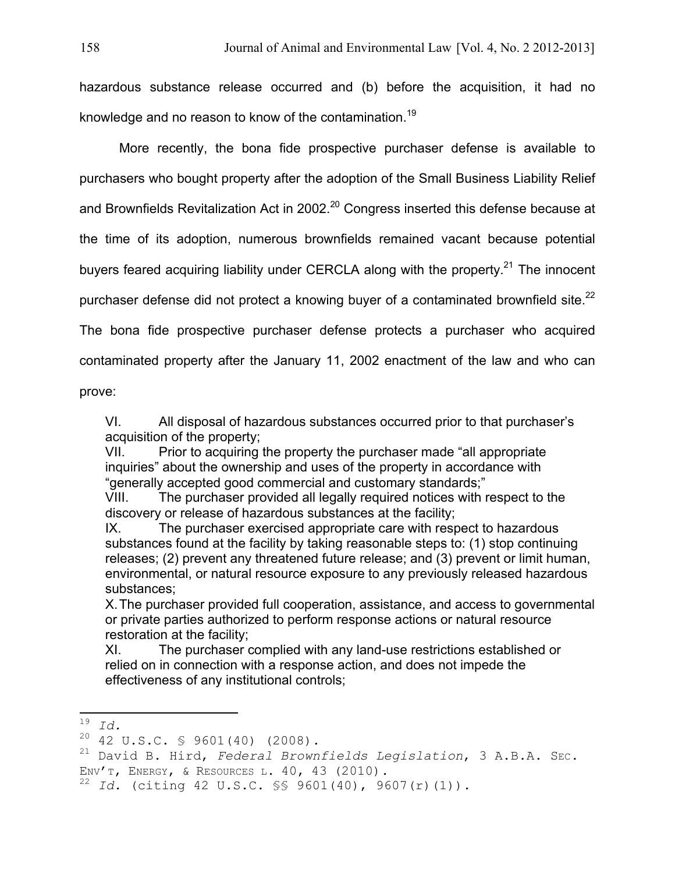hazardous substance release occurred and (b) before the acquisition, it had no knowledge and no reason to know of the contamination.19

More recently, the bona fide prospective purchaser defense is available to purchasers who bought property after the adoption of the Small Business Liability Relief and Brownfields Revitalization Act in 2002.<sup>20</sup> Congress inserted this defense because at the time of its adoption, numerous brownfields remained vacant because potential buyers feared acquiring liability under CERCLA along with the property.<sup>21</sup> The innocent purchaser defense did not protect a knowing buyer of a contaminated brownfield site. $^{22}$ The bona fide prospective purchaser defense protects a purchaser who acquired contaminated property after the January 11, 2002 enactment of the law and who can

prove:

VI. All disposal of hazardous substances occurred prior to that purchaser's acquisition of the property;

VII. Prior to acquiring the property the purchaser made "all appropriate inquiries" about the ownership and uses of the property in accordance with "generally accepted good commercial and customary standards;"

VIII. The purchaser provided all legally required notices with respect to the discovery or release of hazardous substances at the facility;

IX. The purchaser exercised appropriate care with respect to hazardous substances found at the facility by taking reasonable steps to: (1) stop continuing releases; (2) prevent any threatened future release; and (3) prevent or limit human, environmental, or natural resource exposure to any previously released hazardous substances;

X.The purchaser provided full cooperation, assistance, and access to governmental or private parties authorized to perform response actions or natural resource restoration at the facility;

XI. The purchaser complied with any land-use restrictions established or relied on in connection with a response action, and does not impede the effectiveness of any institutional controls;

**<sup>19</sup>** *Id. CON* 

 $20$  42 U.S.C. § 9601(40) (2008).

<sup>21</sup> David B. Hird, *Federal Brownfields Legislation*, 3 A.B.A. SEC. ENV'T, ENERGY, & RESOURCES L. 40, 43 (2010).

<sup>22</sup> *Id.* (citing 42 U.S.C. §§ 9601(40), 9607(r)(1)).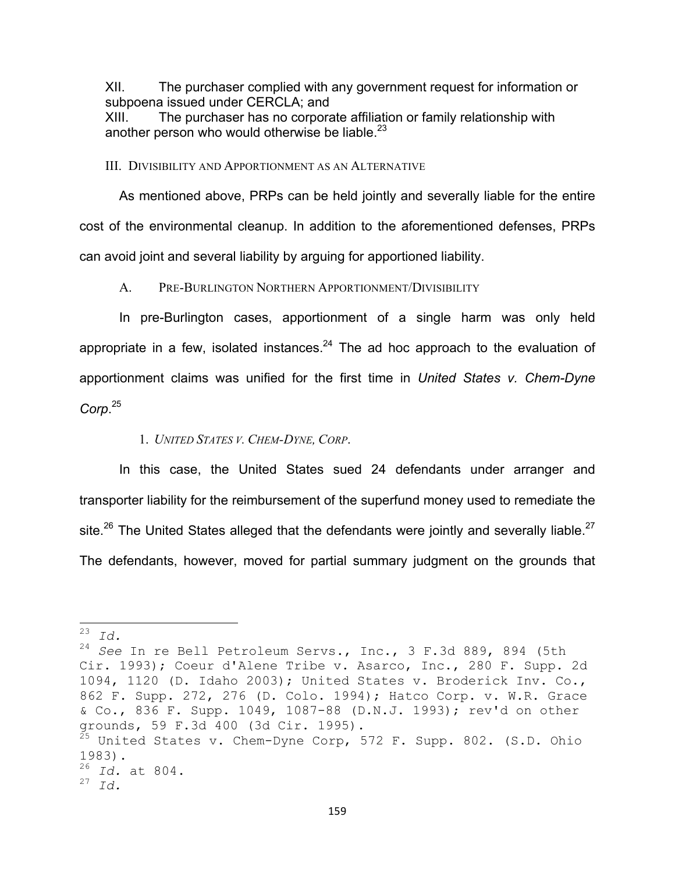XII. The purchaser complied with any government request for information or subpoena issued under CERCLA; and

XIII. The purchaser has no corporate affiliation or family relationship with another person who would otherwise be liable.<sup>23</sup>

III. DIVISIBILITY AND APPORTIONMENT AS AN ALTERNATIVE

As mentioned above, PRPs can be held jointly and severally liable for the entire cost of the environmental cleanup. In addition to the aforementioned defenses, PRPs can avoid joint and several liability by arguing for apportioned liability.

A. PRE-BURLINGTON NORTHERN APPORTIONMENT/DIVISIBILITY

In pre-Burlington cases, apportionment of a single harm was only held appropriate in a few, isolated instances. $24$  The ad hoc approach to the evaluation of apportionment claims was unified for the first time in *United States v. Chem-Dyne Corp*. 25

# 1. *UNITED STATES V. CHEM-DYNE, CORP*.

In this case, the United States sued 24 defendants under arranger and transporter liability for the reimbursement of the superfund money used to remediate the site.<sup>26</sup> The United States alleged that the defendants were jointly and severally liable.<sup>27</sup> The defendants, however, moved for partial summary judgment on the grounds that

<sup>!!!!!!!!!!!!!!!!!!!!!!!!!!!!!!!!!!!!!!!!!!!!!!!!!!!!!!!!!!!!</sup> <sup>23</sup> *Id.*

<sup>24</sup> *See* In re Bell Petroleum Servs., Inc., 3 F.3d 889, 894 (5th Cir. 1993); Coeur d'Alene Tribe v. Asarco, Inc., 280 F. Supp. 2d 1094, 1120 (D. Idaho 2003); United States v. Broderick Inv. Co., 862 F. Supp. 272, 276 (D. Colo. 1994); Hatco Corp. v. W.R. Grace & Co., 836 F. Supp. 1049, 1087-88 (D.N.J. 1993); rev'd on other grounds, 59 F.3d 400 (3d Cir. 1995).  $^{25}$  United States v. Chem-Dyne Corp, 572 F. Supp. 802. (S.D. Ohio 1983). <sup>26</sup> *Id.* at 804. <sup>27</sup> *Id.*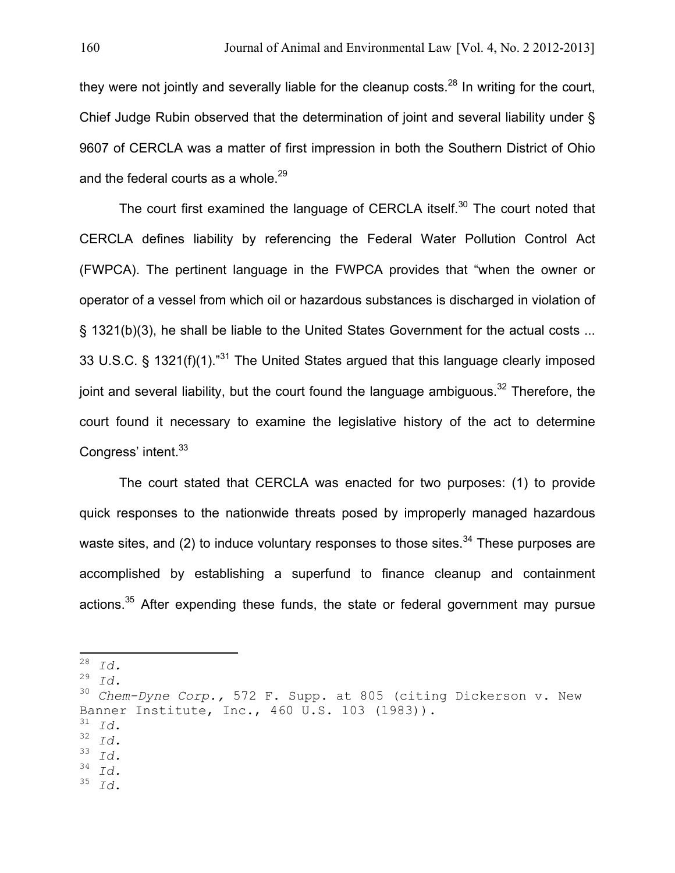they were not jointly and severally liable for the cleanup costs.<sup>28</sup> In writing for the court, Chief Judge Rubin observed that the determination of joint and several liability under § 9607 of CERCLA was a matter of first impression in both the Southern District of Ohio and the federal courts as a whole.<sup>29</sup>

The court first examined the language of CERCLA itself.<sup>30</sup> The court noted that CERCLA defines liability by referencing the Federal Water Pollution Control Act (FWPCA). The pertinent language in the FWPCA provides that "when the owner or operator of a vessel from which oil or hazardous substances is discharged in violation of § 1321(b)(3), he shall be liable to the United States Government for the actual costs ... 33 U.S.C. § 1321(f)(1). $n31}$  The United States argued that this language clearly imposed joint and several liability, but the court found the language ambiguous.<sup>32</sup> Therefore, the court found it necessary to examine the legislative history of the act to determine Congress' intent.<sup>33</sup>

The court stated that CERCLA was enacted for two purposes: (1) to provide quick responses to the nationwide threats posed by improperly managed hazardous waste sites, and (2) to induce voluntary responses to those sites.<sup>34</sup> These purposes are accomplished by establishing a superfund to finance cleanup and containment actions.<sup>35</sup> After expending these funds, the state or federal government may pursue

 $\begin{array}{cc} 29 & \text{Id.} \\ 30 & \text{Chol} \end{array}$ 

- $\frac{31}{32}$  *Id.*<br> $\frac{32}{33}$  *Id.*
- $\frac{33}{34}$  *Id.*
- $\frac{34}{35}$  *Id.*
- <sup>35</sup> *Id*.

**<sup>28</sup> Id. ID. 28 ID. ID. ID.**

<sup>30</sup> *Chem-Dyne Corp.,* 572 F. Supp. at 805 (citing Dickerson v. New Banner Institute, Inc., 460 U.S. 103 (1983)).<br> $\frac{31}{10}$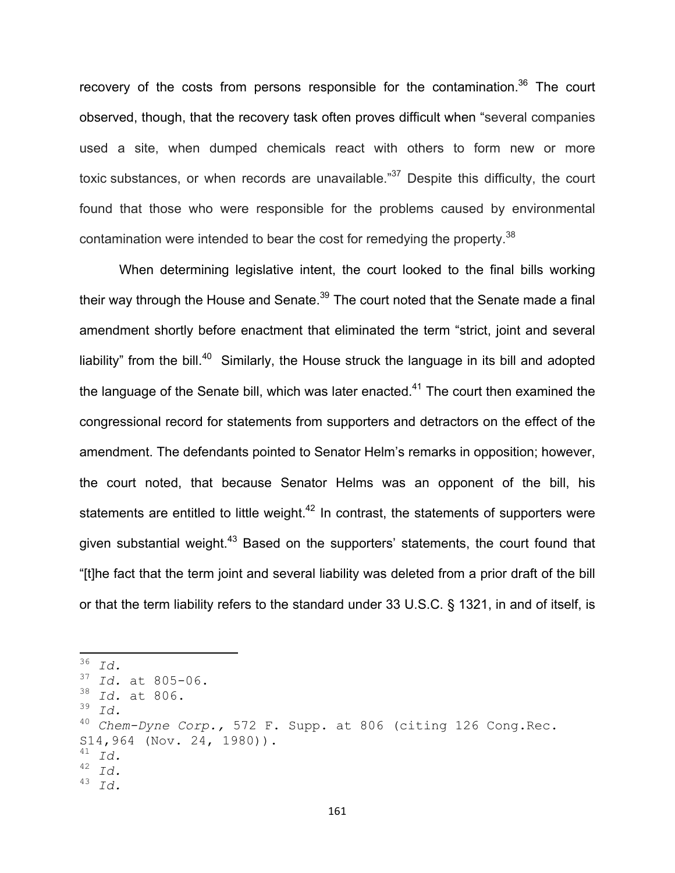recovery of the costs from persons responsible for the contamination.<sup>36</sup> The court observed, though, that the recovery task often proves difficult when "several companies used a site, when dumped chemicals react with others to form new or more toxic substances, or when records are unavailable."<sup>37</sup> Despite this difficulty, the court found that those who were responsible for the problems caused by environmental contamination were intended to bear the cost for remedying the property.<sup>38</sup>

When determining legislative intent, the court looked to the final bills working their way through the House and Senate.<sup>39</sup> The court noted that the Senate made a final amendment shortly before enactment that eliminated the term "strict, joint and several liability" from the bill.<sup>40</sup> Similarly, the House struck the language in its bill and adopted the language of the Senate bill, which was later enacted.<sup>41</sup> The court then examined the congressional record for statements from supporters and detractors on the effect of the amendment. The defendants pointed to Senator Helm's remarks in opposition; however, the court noted, that because Senator Helms was an opponent of the bill, his statements are entitled to little weight.<sup>42</sup> In contrast, the statements of supporters were given substantial weight.<sup>43</sup> Based on the supporters' statements, the court found that "[t]he fact that the term joint and several liability was deleted from a prior draft of the bill or that the term liability refers to the standard under 33 U.S.C. § 1321, in and of itself, is

 $\overline{36}$  *Id.*  $\frac{37}{38}$  *Id.* at 805-06. <sup>38</sup> *Id.* at 806.<br><sup>39</sup> *Id*  $\frac{39}{40}$  *Id.* <sup>40</sup> *Chem-Dyne Corp.,* 572 F. Supp. at 806 (citing 126 Cong.Rec.  $S14,964$  (Nov. 24, 1980)). <sup>41</sup> *Id.* <sup>42</sup> *Id.* <sup>43</sup> *Id.*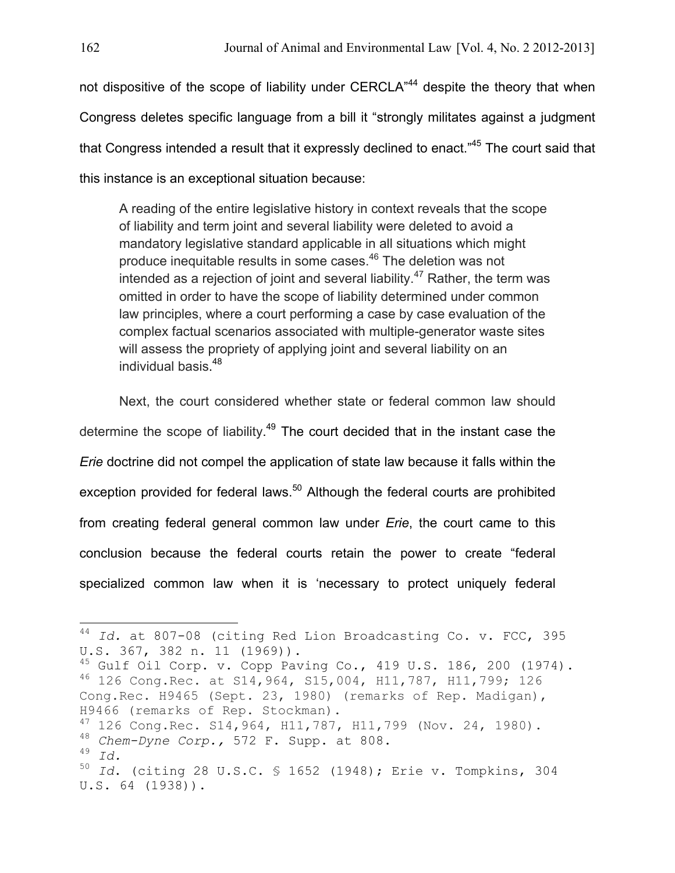not dispositive of the scope of liability under CERCLA"<sup>44</sup> despite the theory that when Congress deletes specific language from a bill it "strongly militates against a judgment that Congress intended a result that it expressly declined to enact."<sup>45</sup> The court said that this instance is an exceptional situation because:

A reading of the entire legislative history in context reveals that the scope of liability and term joint and several liability were deleted to avoid a mandatory legislative standard applicable in all situations which might produce inequitable results in some cases. 46 The deletion was not intended as a rejection of joint and several liability. $47$  Rather, the term was omitted in order to have the scope of liability determined under common law principles, where a court performing a case by case evaluation of the complex factual scenarios associated with multiple-generator waste sites will assess the propriety of applying joint and several liability on an individual basis. 48

Next, the court considered whether state or federal common law should determine the scope of liability.<sup>49</sup> The court decided that in the instant case the *Erie* doctrine did not compel the application of state law because it falls within the exception provided for federal laws.<sup>50</sup> Although the federal courts are prohibited from creating federal general common law under *Erie*, the court came to this conclusion because the federal courts retain the power to create "federal specialized common law when it is 'necessary to protect uniquely federal

<sup>&</sup>lt;sup>44</sup> Id. at 807-08 (citing Red Lion Broadcasting Co. v. FCC, 395 U.S. 367, 382 n. 11 (1969)).

 $45$  Gulf Oil Corp. v. Copp Paving Co., 419 U.S. 186, 200 (1974). <sup>46</sup> 126 Cong.Rec. at S14,964, S15,004, H11,787, H11,799; 126 Cong.Rec. H9465 (Sept. 23, 1980) (remarks of Rep. Madigan), H9466 (remarks of Rep. Stockman).

<sup>47</sup> 126 Cong.Rec. S14,964, H11,787, H11,799 (Nov. 24, 1980). <sup>48</sup> *Chem-Dyne Corp.,* 572 F. Supp. at 808.

<sup>49</sup> *Id.*

<sup>50</sup> *Id*. (citing 28 U.S.C. § 1652 (1948); Erie v. Tompkins, 304 U.S. 64 (1938)).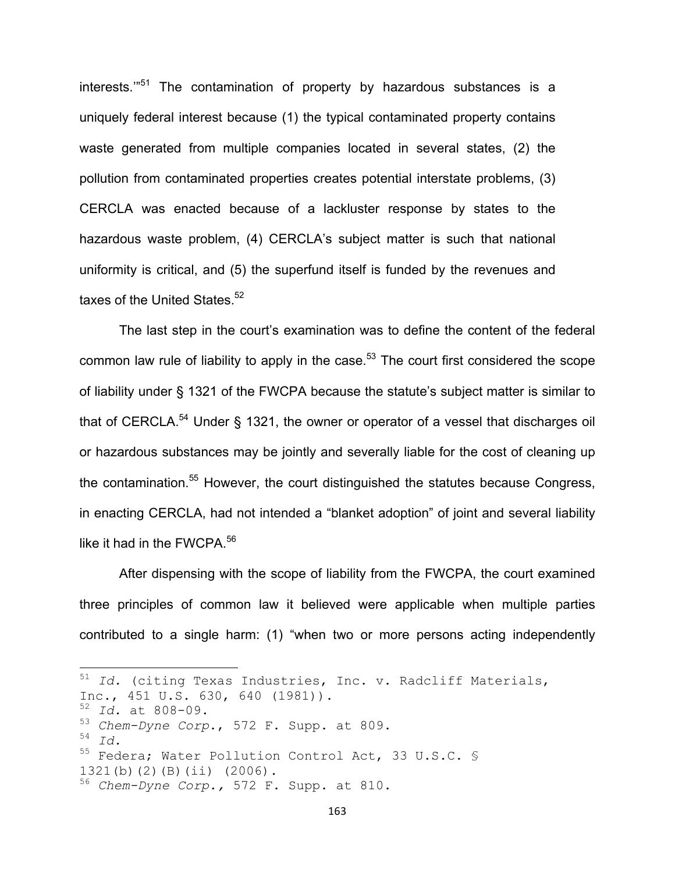interests."<sup>51</sup> The contamination of property by hazardous substances is a uniquely federal interest because (1) the typical contaminated property contains waste generated from multiple companies located in several states, (2) the pollution from contaminated properties creates potential interstate problems, (3) CERCLA was enacted because of a lackluster response by states to the hazardous waste problem, (4) CERCLA's subject matter is such that national uniformity is critical, and (5) the superfund itself is funded by the revenues and taxes of the United States.<sup>52</sup>

The last step in the court's examination was to define the content of the federal common law rule of liability to apply in the case. $53$  The court first considered the scope of liability under § 1321 of the FWCPA because the statute's subject matter is similar to that of CERCLA.<sup>54</sup> Under § 1321, the owner or operator of a vessel that discharges oil or hazardous substances may be jointly and severally liable for the cost of cleaning up the contamination.<sup>55</sup> However, the court distinguished the statutes because Congress, in enacting CERCLA, had not intended a "blanket adoption" of joint and several liability like it had in the FWCPA.<sup>56</sup>

After dispensing with the scope of liability from the FWCPA, the court examined three principles of common law it believed were applicable when multiple parties contributed to a single harm: (1) "when two or more persons acting independently

<sup>51</sup> Id. (citing Texas Industries, Inc. v. Radcliff Materials, Inc., 451 U.S. 630, 640 (1981)). <sup>52</sup> *Id.* at 808-09. <sup>53</sup> *Chem-Dyne Corp*., 572 F. Supp. at 809. <sup>54</sup> *Id.* 55 Federa; Water Pollution Control Act, 33 U.S.C. § 1321(b)(2)(B)(ii) (2006). <sup>56</sup> *Chem-Dyne Corp.,* 572 F. Supp. at 810.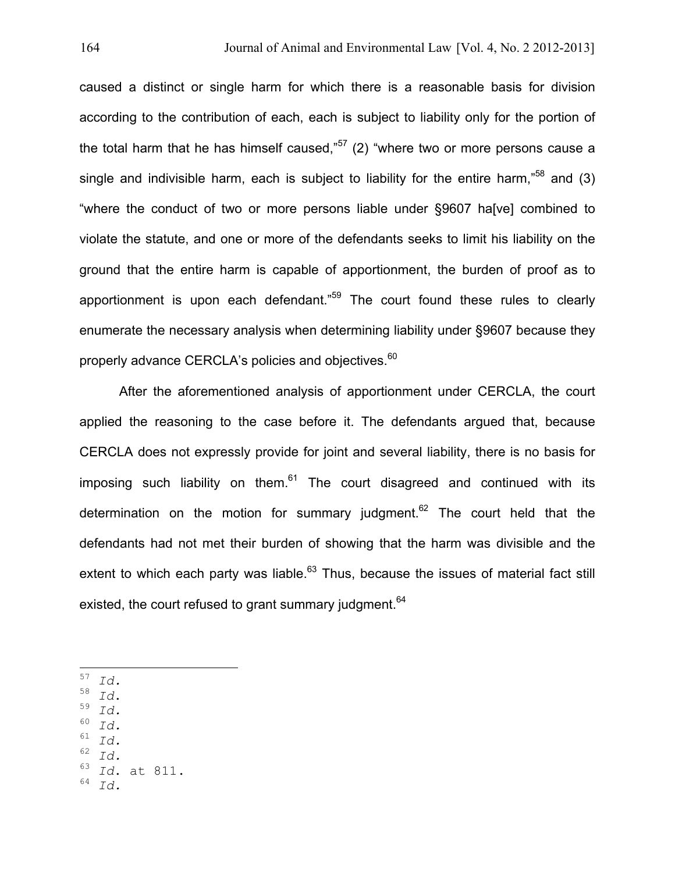caused a distinct or single harm for which there is a reasonable basis for division according to the contribution of each, each is subject to liability only for the portion of the total harm that he has himself caused,"<sup>57</sup> (2) "where two or more persons cause a single and indivisible harm, each is subject to liability for the entire harm,"<sup>58</sup> and (3) "where the conduct of two or more persons liable under §9607 ha[ve] combined to violate the statute, and one or more of the defendants seeks to limit his liability on the ground that the entire harm is capable of apportionment, the burden of proof as to apportionment is upon each defendant."<sup>59</sup> The court found these rules to clearly enumerate the necessary analysis when determining liability under §9607 because they properly advance CERCLA's policies and objectives.<sup>60</sup>

After the aforementioned analysis of apportionment under CERCLA, the court applied the reasoning to the case before it. The defendants argued that, because CERCLA does not expressly provide for joint and several liability, there is no basis for imposing such liability on them.<sup>61</sup> The court disagreed and continued with its determination on the motion for summary judgment.<sup>62</sup> The court held that the defendants had not met their burden of showing that the harm was divisible and the extent to which each party was liable.<sup>63</sup> Thus, because the issues of material fact still existed, the court refused to grant summary judgment.<sup>64</sup>

- $^{58}$  *Id.*<br> $^{59}$  *Id.*<br> $^{60}$   $^{71}$
- 
- $\begin{array}{c} 60 \ 61 \ 7 \end{array}$
- $\begin{array}{cc} 61 & \text{Id.} \\ 62 & \text{I.} \end{array}$
- $\begin{array}{cc} 62 & \text{Id.} \\ 63 & \text{Id.} \end{array}$
- $^{63}$  *Id*. at 811.
- <sup>64</sup> *Id.*

<sup>!!!!!!!!!!!!!!!!!!!!!!!!!!!!!!!!!!!!!!!!!!!!!!!!!!!!!!!!!!!!</sup> <sup>57</sup> *Id.*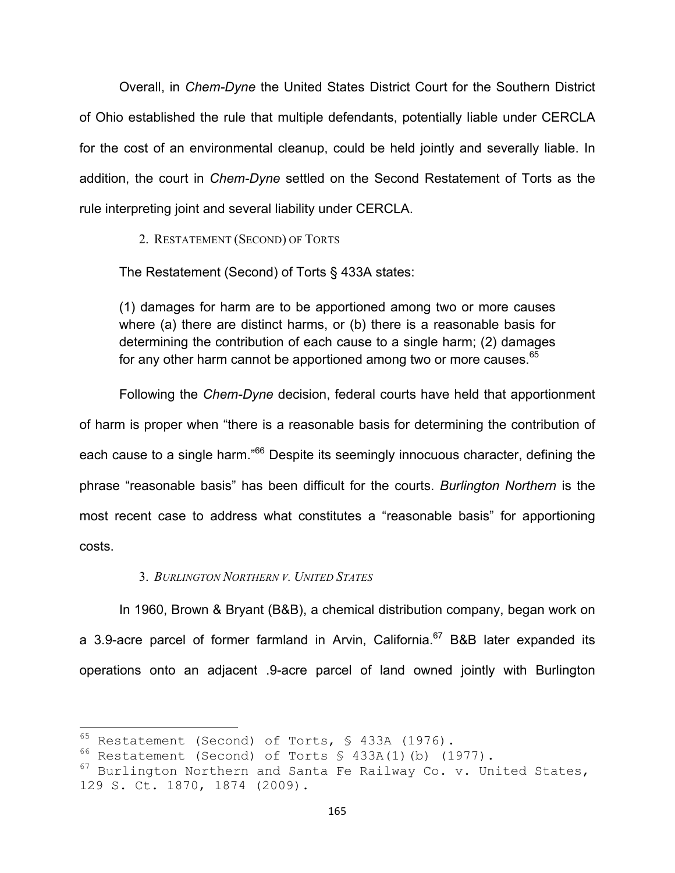Overall, in *Chem-Dyne* the United States District Court for the Southern District of Ohio established the rule that multiple defendants, potentially liable under CERCLA for the cost of an environmental cleanup, could be held jointly and severally liable. In addition, the court in *Chem-Dyne* settled on the Second Restatement of Torts as the rule interpreting joint and several liability under CERCLA.

2. RESTATEMENT (SECOND) OF TORTS

The Restatement (Second) of Torts § 433A states:

(1) damages for harm are to be apportioned among two or more causes where (a) there are distinct harms, or (b) there is a reasonable basis for determining the contribution of each cause to a single harm; (2) damages for any other harm cannot be apportioned among two or more causes.<sup>65</sup>

Following the *Chem-Dyne* decision, federal courts have held that apportionment of harm is proper when "there is a reasonable basis for determining the contribution of each cause to a single harm."<sup>66</sup> Despite its seemingly innocuous character, defining the phrase "reasonable basis" has been difficult for the courts. *Burlington Northern* is the most recent case to address what constitutes a "reasonable basis" for apportioning costs.

### 3. *BURLINGTON NORTHERN V. UNITED STATES*

In 1960, Brown & Bryant (B&B), a chemical distribution company, began work on a 3.9-acre parcel of former farmland in Arvin, California.<sup>67</sup> B&B later expanded its operations onto an adjacent .9-acre parcel of land owned jointly with Burlington

 $65$  Restatement (Second) of Torts, § 433A (1976).

<sup>66</sup> Restatement (Second) of Torts § 433A(1)(b) (1977).

 $67$  Burlington Northern and Santa Fe Railway Co. v. United States, 129 S. Ct. 1870, 1874 (2009).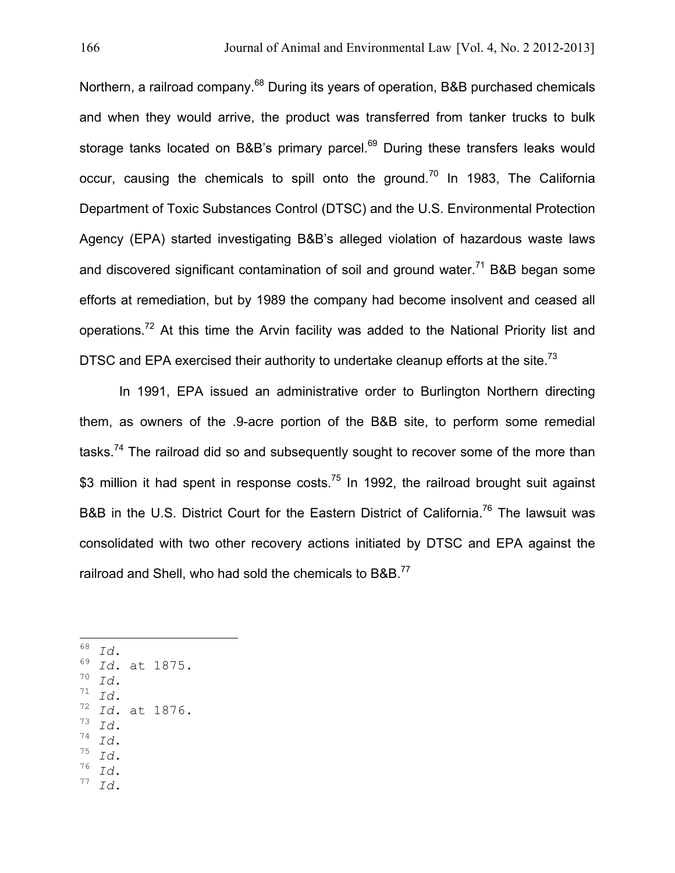Northern, a railroad company.<sup>68</sup> During its years of operation, B&B purchased chemicals and when they would arrive, the product was transferred from tanker trucks to bulk storage tanks located on B&B's primary parcel.<sup>69</sup> During these transfers leaks would occur, causing the chemicals to spill onto the ground.<sup>70</sup> In 1983, The California Department of Toxic Substances Control (DTSC) and the U.S. Environmental Protection Agency (EPA) started investigating B&B's alleged violation of hazardous waste laws and discovered significant contamination of soil and ground water.<sup>71</sup> B&B began some efforts at remediation, but by 1989 the company had become insolvent and ceased all operations.<sup>72</sup> At this time the Arvin facility was added to the National Priority list and DTSC and EPA exercised their authority to undertake cleanup efforts at the site.<sup>73</sup>

In 1991, EPA issued an administrative order to Burlington Northern directing them, as owners of the .9-acre portion of the B&B site, to perform some remedial tasks.<sup>74</sup> The railroad did so and subsequently sought to recover some of the more than \$3 million it had spent in response costs.<sup>75</sup> In 1992, the railroad brought suit against B&B in the U.S. District Court for the Eastern District of California.<sup>76</sup> The lawsuit was consolidated with two other recovery actions initiated by DTSC and EPA against the railroad and Shell, who had sold the chemicals to B&B.<sup>77</sup>

 $\frac{168}{69}$  *Id.* at 1875.  $\int_{71}^{70}$  *Id.*  $\int_{72}^{1}$  *Id.* <sup>72</sup> *Id.* at 1876.  $\int_{74}^{3}$  *Id.*  $T^4$  *Id.*<br> $T^5$  *Id.*<br> $T^6$  *Id.* <sup>76</sup> *Id*. <sup>77</sup> *Id.*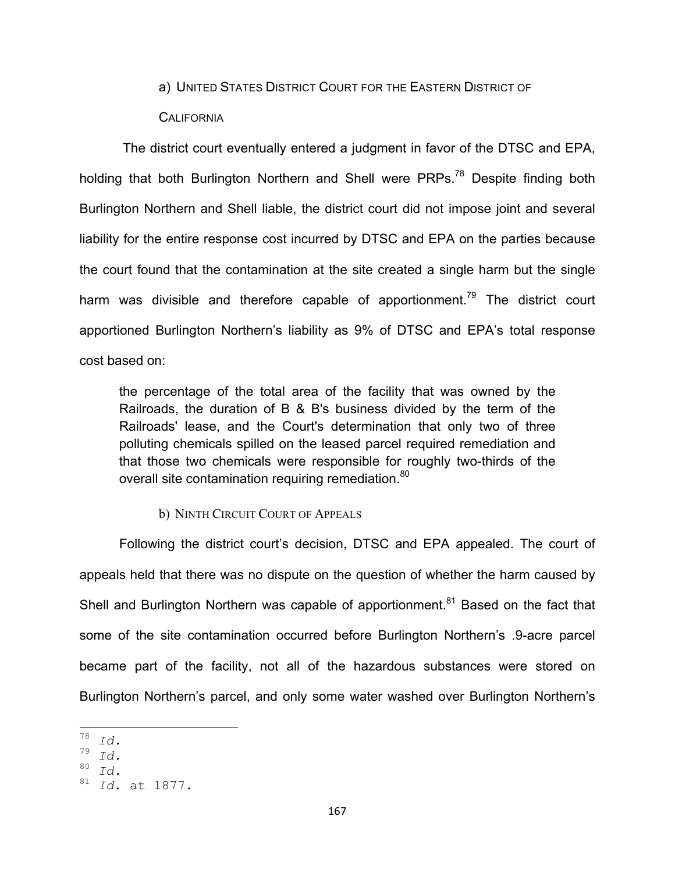### a) UNITED STATES DISTRICT COURT FOR THE EASTERN DISTRICT OF

## **CALIFORNIA**

 The district court eventually entered a judgment in favor of the DTSC and EPA, holding that both Burlington Northern and Shell were PRPs.<sup>78</sup> Despite finding both Burlington Northern and Shell liable, the district court did not impose joint and several liability for the entire response cost incurred by DTSC and EPA on the parties because the court found that the contamination at the site created a single harm but the single harm was divisible and therefore capable of apportionment.<sup>79</sup> The district court apportioned Burlington Northern's liability as 9% of DTSC and EPA's total response cost based on:

the percentage of the total area of the facility that was owned by the Railroads, the duration of B & B's business divided by the term of the Railroads' lease, and the Court's determination that only two of three polluting chemicals spilled on the leased parcel required remediation and that those two chemicals were responsible for roughly two-thirds of the overall site contamination requiring remediation.<sup>80</sup>

### b) NINTH CIRCUIT COURT OF APPEALS

Following the district court's decision, DTSC and EPA appealed. The court of appeals held that there was no dispute on the question of whether the harm caused by Shell and Burlington Northern was capable of apportionment.<sup>81</sup> Based on the fact that some of the site contamination occurred before Burlington Northern's .9-acre parcel became part of the facility, not all of the hazardous substances were stored on Burlington Northern's parcel, and only some water washed over Burlington Northern's

 $\frac{78}{79}$   $\frac{Id}{d}$ .

 $\int_{80}^{9}$  *Id.* 

<sup>80</sup> *Id.*

<sup>81</sup> *Id*. at 1877.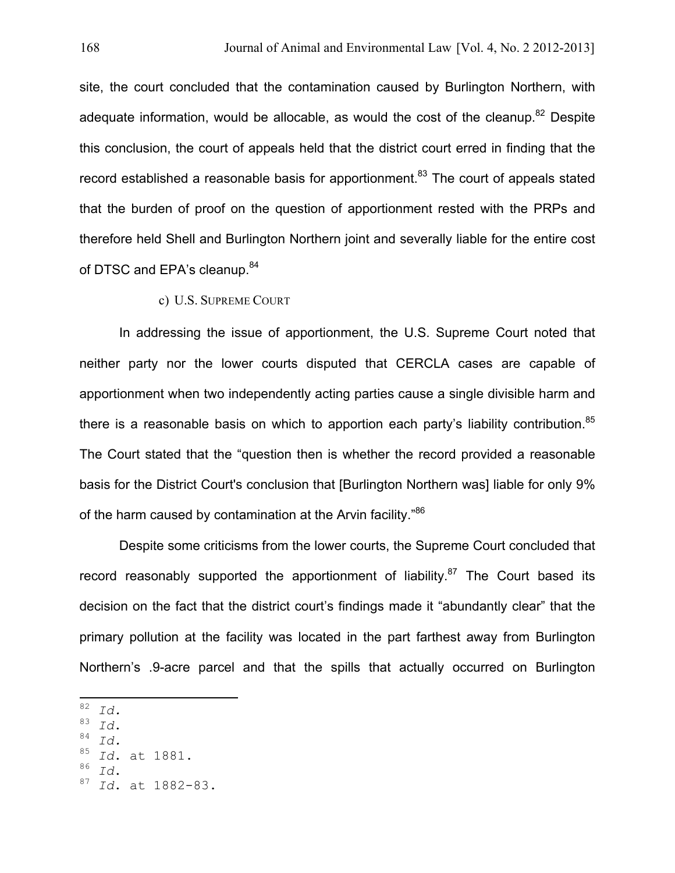site, the court concluded that the contamination caused by Burlington Northern, with adequate information, would be allocable, as would the cost of the cleanup.<sup>82</sup> Despite this conclusion, the court of appeals held that the district court erred in finding that the record established a reasonable basis for apportionment.<sup>83</sup> The court of appeals stated that the burden of proof on the question of apportionment rested with the PRPs and therefore held Shell and Burlington Northern joint and severally liable for the entire cost of DTSC and EPA's cleanup.<sup>84</sup>

## c) U.S. SUPREME COURT

In addressing the issue of apportionment, the U.S. Supreme Court noted that neither party nor the lower courts disputed that CERCLA cases are capable of apportionment when two independently acting parties cause a single divisible harm and there is a reasonable basis on which to apportion each party's liability contribution.<sup>85</sup> The Court stated that the "question then is whether the record provided a reasonable basis for the District Court's conclusion that [Burlington Northern was] liable for only 9% of the harm caused by contamination at the Arvin facility."<sup>86</sup>

Despite some criticisms from the lower courts, the Supreme Court concluded that record reasonably supported the apportionment of liability.<sup>87</sup> The Court based its decision on the fact that the district court's findings made it "abundantly clear" that the primary pollution at the facility was located in the part farthest away from Burlington Northern's .9-acre parcel and that the spills that actually occurred on Burlington

- 
- $\begin{array}{c} 83 \ 84 \ \hline 1d. \ 85 \ \hline \end{array}$
- <sup>85</sup> *Id*. at 1881.
- <sup>86</sup> *Id*. <sup>87</sup> *Id*. at 1882-83.

**<sup>82</sup>** *Id. B2 Id. B2 Id. B2 Id. B2 Id. B2 Id. B2 Id. B2 B2 B2 B2 B2 B2 B2 B2 B2 B2 B2 B2 B2 B2 B2 B2 B2 B2 B2*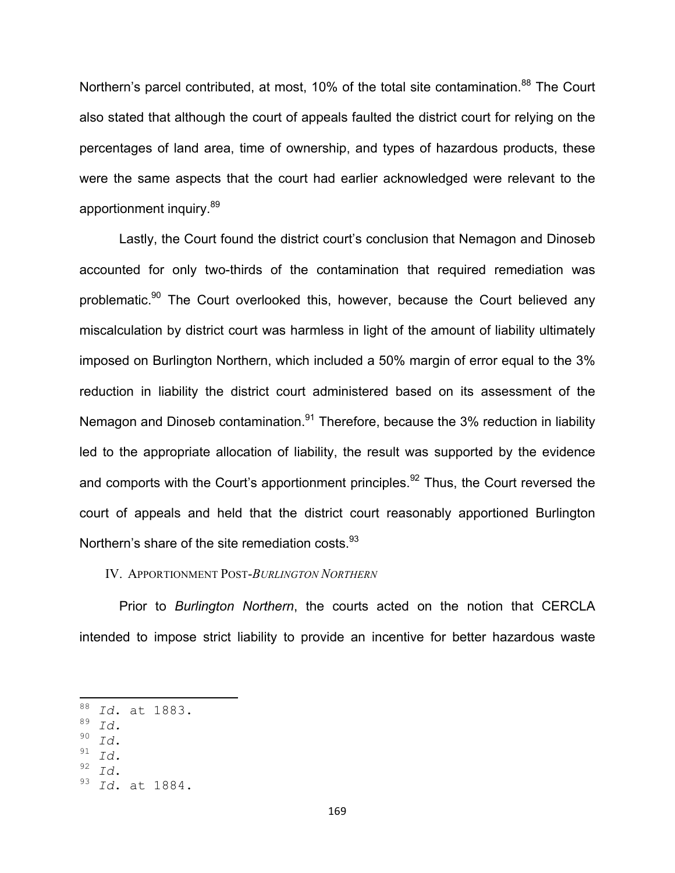Northern's parcel contributed, at most, 10% of the total site contamination.<sup>88</sup> The Court also stated that although the court of appeals faulted the district court for relying on the percentages of land area, time of ownership, and types of hazardous products, these were the same aspects that the court had earlier acknowledged were relevant to the apportionment inquiry.<sup>89</sup>

Lastly, the Court found the district court's conclusion that Nemagon and Dinoseb accounted for only two-thirds of the contamination that required remediation was problematic.<sup>90</sup> The Court overlooked this, however, because the Court believed any miscalculation by district court was harmless in light of the amount of liability ultimately imposed on Burlington Northern, which included a 50% margin of error equal to the 3% reduction in liability the district court administered based on its assessment of the Nemagon and Dinoseb contamination.<sup>91</sup> Therefore, because the 3% reduction in liability led to the appropriate allocation of liability, the result was supported by the evidence and comports with the Court's apportionment principles.<sup>92</sup> Thus, the Court reversed the court of appeals and held that the district court reasonably apportioned Burlington Northern's share of the site remediation costs.<sup>93</sup>

#### IV. APPORTIONMENT POST-*BURLINGTON NORTHERN*

Prior to *Burlington Northern*, the courts acted on the notion that CERCLA intended to impose strict liability to provide an incentive for better hazardous waste

- $\begin{array}{c} 90 & \text{Id.} \\ 91 & \text{Id.} \\ 92 & \text{Id.} \end{array}$
- 
- 

<sup>&</sup>lt;sup>88</sup> Id. at 1883.

 $\begin{bmatrix} 89 & Id. \\ 90 & T. \end{bmatrix}$ 

<sup>92</sup> *Id*. <sup>93</sup> *Id*. at 1884.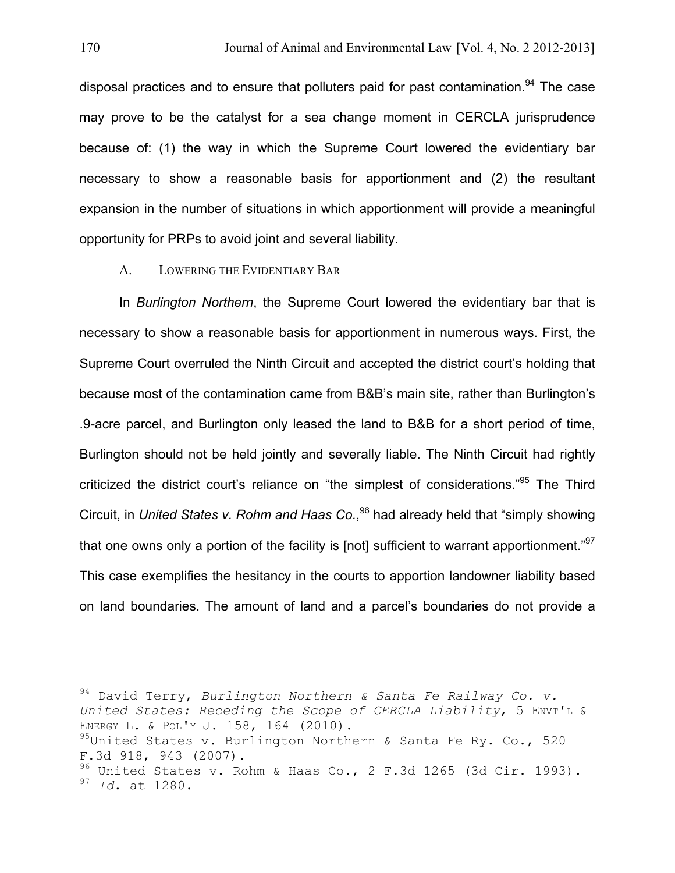disposal practices and to ensure that polluters paid for past contamination.<sup>94</sup> The case may prove to be the catalyst for a sea change moment in CERCLA jurisprudence because of: (1) the way in which the Supreme Court lowered the evidentiary bar necessary to show a reasonable basis for apportionment and (2) the resultant expansion in the number of situations in which apportionment will provide a meaningful opportunity for PRPs to avoid joint and several liability.

### A. LOWERING THE EVIDENTIARY BAR

In *Burlington Northern*, the Supreme Court lowered the evidentiary bar that is necessary to show a reasonable basis for apportionment in numerous ways. First, the Supreme Court overruled the Ninth Circuit and accepted the district court's holding that because most of the contamination came from B&B's main site, rather than Burlington's .9-acre parcel, and Burlington only leased the land to B&B for a short period of time, Burlington should not be held jointly and severally liable. The Ninth Circuit had rightly criticized the district court's reliance on "the simplest of considerations."<sup>95</sup> The Third Circuit, in *United States v. Rohm and Haas Co.*, 96 had already held that "simply showing that one owns only a portion of the facility is [not] sufficient to warrant apportionment."<sup>97</sup> This case exemplifies the hesitancy in the courts to apportion landowner liability based on land boundaries. The amount of land and a parcel's boundaries do not provide a

<sup>94</sup> David Terry, Burlington Northern & Santa Fe Railway Co. v. *United States: Receding the Scope of CERCLA Liability*, 5 ENVT'L & ENERGY L. & POL'Y J. 158, 164 (2010).  $95$ United States v. Burlington Northern & Santa Fe Ry. Co., 520 F.3d 918, 943 (2007).  $96$  United States v. Rohm & Haas Co., 2 F.3d 1265 (3d Cir. 1993). <sup>97</sup> *Id*. at 1280.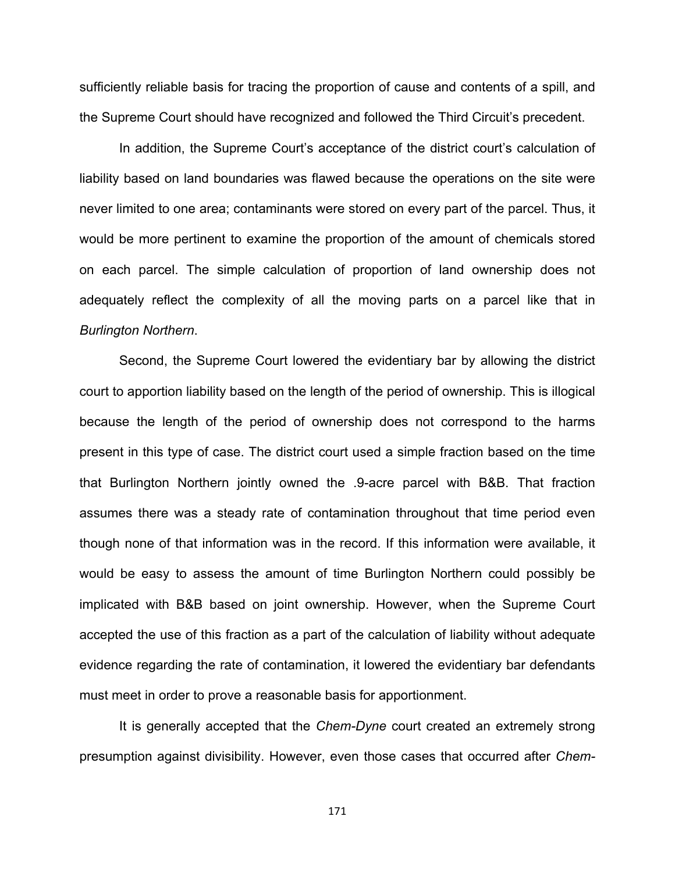sufficiently reliable basis for tracing the proportion of cause and contents of a spill, and the Supreme Court should have recognized and followed the Third Circuit's precedent.

In addition, the Supreme Court's acceptance of the district court's calculation of liability based on land boundaries was flawed because the operations on the site were never limited to one area; contaminants were stored on every part of the parcel. Thus, it would be more pertinent to examine the proportion of the amount of chemicals stored on each parcel. The simple calculation of proportion of land ownership does not adequately reflect the complexity of all the moving parts on a parcel like that in *Burlington Northern*.

Second, the Supreme Court lowered the evidentiary bar by allowing the district court to apportion liability based on the length of the period of ownership. This is illogical because the length of the period of ownership does not correspond to the harms present in this type of case. The district court used a simple fraction based on the time that Burlington Northern jointly owned the .9-acre parcel with B&B. That fraction assumes there was a steady rate of contamination throughout that time period even though none of that information was in the record. If this information were available, it would be easy to assess the amount of time Burlington Northern could possibly be implicated with B&B based on joint ownership. However, when the Supreme Court accepted the use of this fraction as a part of the calculation of liability without adequate evidence regarding the rate of contamination, it lowered the evidentiary bar defendants must meet in order to prove a reasonable basis for apportionment.

It is generally accepted that the *Chem-Dyne* court created an extremely strong presumption against divisibility. However, even those cases that occurred after *Chem-*

171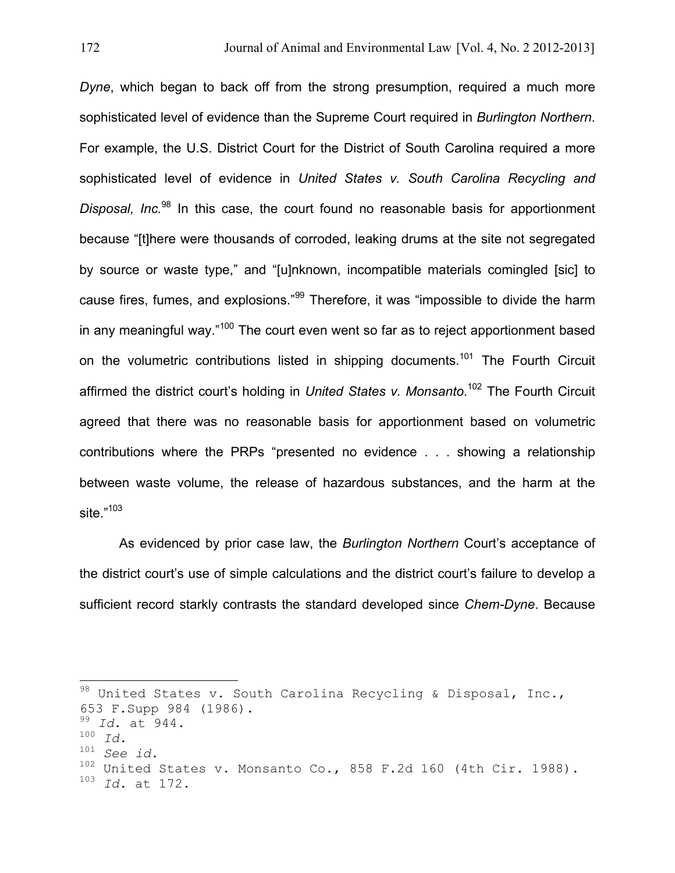*Dyne*, which began to back off from the strong presumption, required a much more sophisticated level of evidence than the Supreme Court required in *Burlington Northern*. For example, the U.S. District Court for the District of South Carolina required a more sophisticated level of evidence in *United States v. South Carolina Recycling and*  Disposal, Inc.<sup>98</sup> In this case, the court found no reasonable basis for apportionment because "[t]here were thousands of corroded, leaking drums at the site not segregated by source or waste type," and "[u]nknown, incompatible materials comingled [sic] to cause fires, fumes, and explosions."<sup>99</sup> Therefore, it was "impossible to divide the harm in any meaningful way."<sup>100</sup> The court even went so far as to reject apportionment based on the volumetric contributions listed in shipping documents.<sup>101</sup> The Fourth Circuit affirmed the district court's holding in *United States v. Monsanto*. 102 The Fourth Circuit agreed that there was no reasonable basis for apportionment based on volumetric contributions where the PRPs "presented no evidence . . . showing a relationship between waste volume, the release of hazardous substances, and the harm at the site." 103

As evidenced by prior case law, the *Burlington Northern* Court's acceptance of the district court's use of simple calculations and the district court's failure to develop a sufficient record starkly contrasts the standard developed since *Chem-Dyne*. Because

 $98$  United States v. South Carolina Recycling & Disposal, Inc., 653 F.Supp 984 (1986). <sup>99</sup> *Id*. at 944. 100 *Id.*<br><sup>101</sup> *See id.* <sup>102</sup> United States v. Monsanto Co., 858 F.2d 160 (4th Cir. 1988).<br><sup>103</sup> Id. at 172 <sup>103</sup> *Id.* at 172.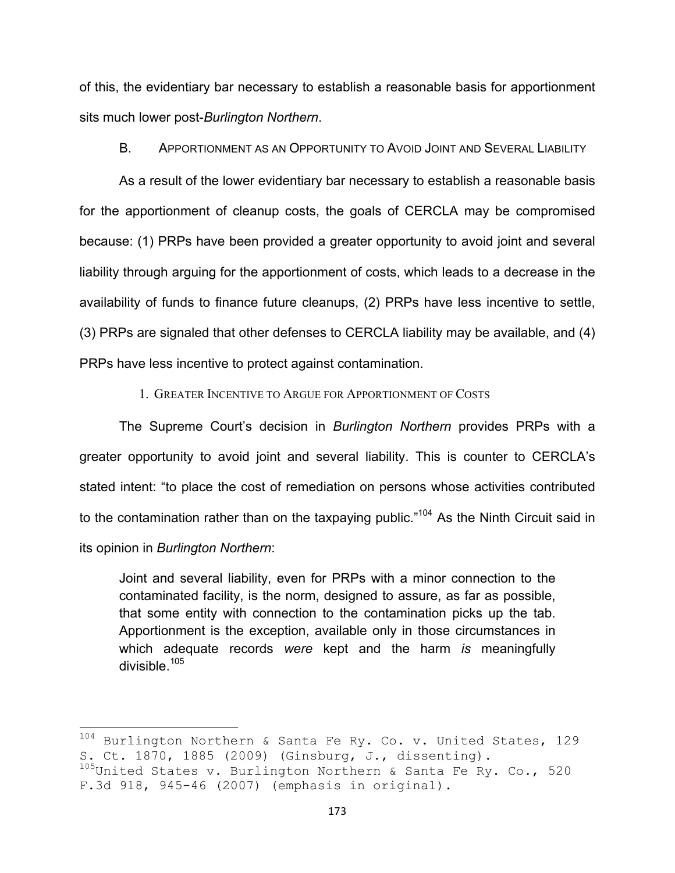of this, the evidentiary bar necessary to establish a reasonable basis for apportionment sits much lower post-*Burlington Northern*.

B. APPORTIONMENT AS AN OPPORTUNITY TO AVOID JOINT AND SEVERAL LIABILITY

As a result of the lower evidentiary bar necessary to establish a reasonable basis for the apportionment of cleanup costs, the goals of CERCLA may be compromised because: (1) PRPs have been provided a greater opportunity to avoid joint and several liability through arguing for the apportionment of costs, which leads to a decrease in the availability of funds to finance future cleanups, (2) PRPs have less incentive to settle, (3) PRPs are signaled that other defenses to CERCLA liability may be available, and (4) PRPs have less incentive to protect against contamination.

1. GREATER INCENTIVE TO ARGUE FOR APPORTIONMENT OF COSTS

The Supreme Court's decision in *Burlington Northern* provides PRPs with a greater opportunity to avoid joint and several liability. This is counter to CERCLA's stated intent: "to place the cost of remediation on persons whose activities contributed to the contamination rather than on the taxpaying public."<sup>104</sup> As the Ninth Circuit said in its opinion in *Burlington Northern*:

Joint and several liability, even for PRPs with a minor connection to the contaminated facility, is the norm, designed to assure, as far as possible, that some entity with connection to the contamination picks up the tab. Apportionment is the exception, available only in those circumstances in which adequate records *were* kept and the harm *is* meaningfully divisible.<sup>105</sup>

 $104$  Burlington Northern & Santa Fe Ry. Co. v. United States, 129 S. Ct. 1870, 1885 (2009) (Ginsburg, J., dissenting).

 $^{105}$ United States v. Burlington Northern & Santa Fe Ry. Co., 520 F.3d 918, 945-46 (2007) (emphasis in original).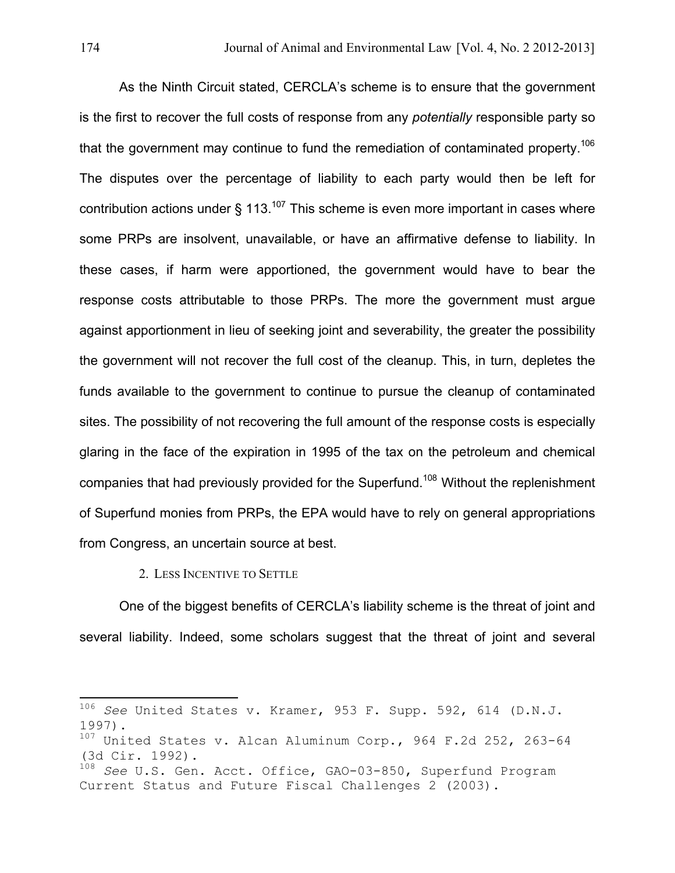As the Ninth Circuit stated, CERCLA's scheme is to ensure that the government is the first to recover the full costs of response from any *potentially* responsible party so that the government may continue to fund the remediation of contaminated property.<sup>106</sup> The disputes over the percentage of liability to each party would then be left for contribution actions under  $\frac{1}{2}$  113.<sup>107</sup> This scheme is even more important in cases where some PRPs are insolvent, unavailable, or have an affirmative defense to liability. In these cases, if harm were apportioned, the government would have to bear the response costs attributable to those PRPs. The more the government must argue against apportionment in lieu of seeking joint and severability, the greater the possibility the government will not recover the full cost of the cleanup. This, in turn, depletes the funds available to the government to continue to pursue the cleanup of contaminated sites. The possibility of not recovering the full amount of the response costs is especially glaring in the face of the expiration in 1995 of the tax on the petroleum and chemical companies that had previously provided for the Superfund.<sup>108</sup> Without the replenishment of Superfund monies from PRPs, the EPA would have to rely on general appropriations from Congress, an uncertain source at best.

2. LESS INCENTIVE TO SETTLE

One of the biggest benefits of CERCLA's liability scheme is the threat of joint and several liability. Indeed, some scholars suggest that the threat of joint and several

<sup>&</sup>lt;sup>106</sup> See United States v. Kramer, 953 F. Supp. 592, 614 (D.N.J. 1997).

<sup>107</sup> United States v. Alcan Aluminum Corp., 964 F.2d 252, 263-64 (3d Cir. 1992).

<sup>108</sup> *See* U.S. Gen. Acct. Office, GAO-03-850, Superfund Program Current Status and Future Fiscal Challenges 2 (2003).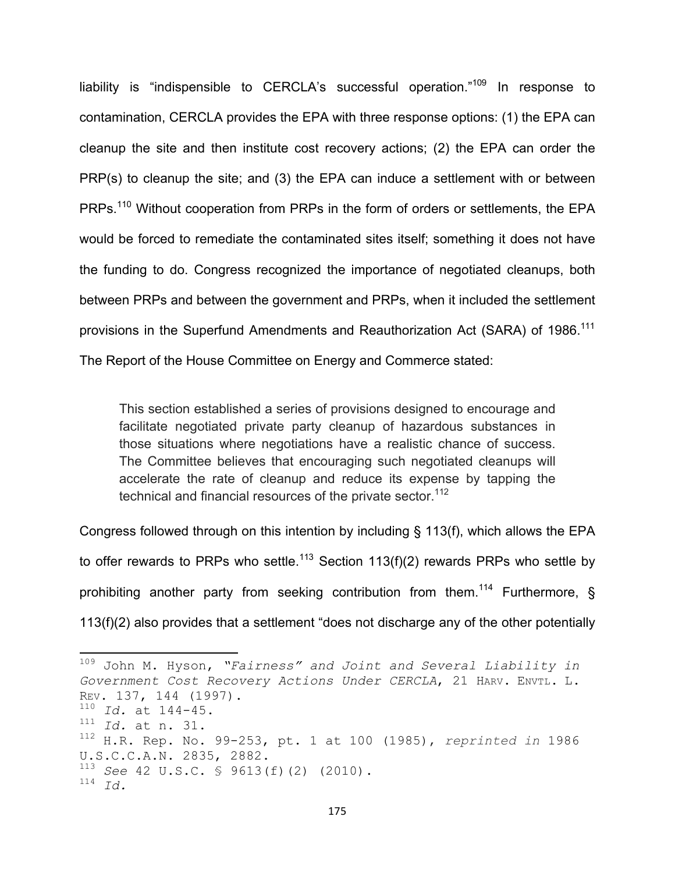liability is "indispensible to CERCLA's successful operation."<sup>109</sup> In response to contamination, CERCLA provides the EPA with three response options: (1) the EPA can cleanup the site and then institute cost recovery actions; (2) the EPA can order the PRP(s) to cleanup the site; and (3) the EPA can induce a settlement with or between PRPs.<sup>110</sup> Without cooperation from PRPs in the form of orders or settlements, the EPA would be forced to remediate the contaminated sites itself; something it does not have the funding to do. Congress recognized the importance of negotiated cleanups, both between PRPs and between the government and PRPs, when it included the settlement provisions in the Superfund Amendments and Reauthorization Act (SARA) of 1986.<sup>111</sup> The Report of the House Committee on Energy and Commerce stated:

This section established a series of provisions designed to encourage and facilitate negotiated private party cleanup of hazardous substances in those situations where negotiations have a realistic chance of success. The Committee believes that encouraging such negotiated cleanups will accelerate the rate of cleanup and reduce its expense by tapping the technical and financial resources of the private sector.<sup>112</sup>

Congress followed through on this intention by including § 113(f), which allows the EPA to offer rewards to PRPs who settle.<sup>113</sup> Section 113(f)(2) rewards PRPs who settle by prohibiting another party from seeking contribution from them.<sup>114</sup> Furthermore, § 113(f)(2) also provides that a settlement "does not discharge any of the other potentially

<sup>&</sup>lt;sup>109</sup> John M. Hyson, "Fairness" and Joint and Several Liability in *Government Cost Recovery Actions Under CERCLA*, 21 HARV. ENVTL. L. REV. 137, 144 (1997). <sup>110</sup> *Id.* at 144-45. <sup>111</sup> *Id.* at n. 31. 112 H.R. Rep. No. 99-253, pt. 1 at 100 (1985), *reprinted in* 1986 U.S.C.C.A.N. 2835, 2882. <sup>113</sup> *See* 42 U.S.C. § 9613(f)(2) (2010). <sup>114</sup> *Id.*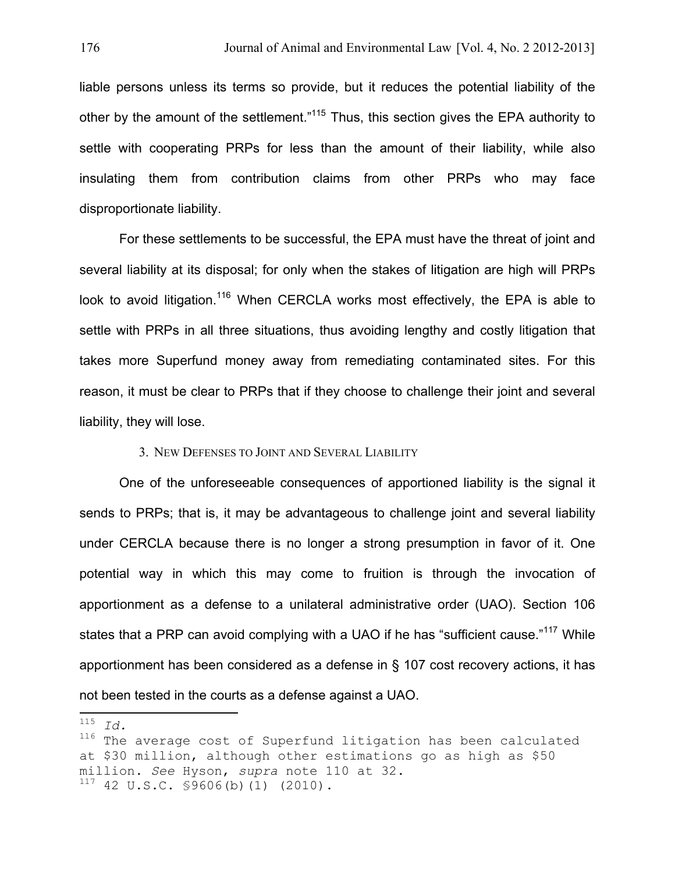liable persons unless its terms so provide, but it reduces the potential liability of the other by the amount of the settlement."<sup>115</sup> Thus, this section gives the EPA authority to settle with cooperating PRPs for less than the amount of their liability, while also insulating them from contribution claims from other PRPs who may face disproportionate liability.

For these settlements to be successful, the EPA must have the threat of joint and several liability at its disposal; for only when the stakes of litigation are high will PRPs look to avoid litigation.<sup>116</sup> When CERCLA works most effectively, the EPA is able to settle with PRPs in all three situations, thus avoiding lengthy and costly litigation that takes more Superfund money away from remediating contaminated sites. For this reason, it must be clear to PRPs that if they choose to challenge their joint and several liability, they will lose.

### 3. NEW DEFENSES TO JOINT AND SEVERAL LIABILITY

One of the unforeseeable consequences of apportioned liability is the signal it sends to PRPs; that is, it may be advantageous to challenge joint and several liability under CERCLA because there is no longer a strong presumption in favor of it. One potential way in which this may come to fruition is through the invocation of apportionment as a defense to a unilateral administrative order (UAO). Section 106 states that a PRP can avoid complying with a UAO if he has "sufficient cause."<sup>117</sup> While apportionment has been considered as a defense in § 107 cost recovery actions, it has not been tested in the courts as a defense against a UAO.

 $115$   $Id.$ 

 $^{116}$  The average cost of Superfund litigation has been calculated at \$30 million, although other estimations go as high as \$50 million. *See* Hyson, *supra* note 110 at 32.  $117$  42 U.S.C.  $$9606(b)(1)$  (2010).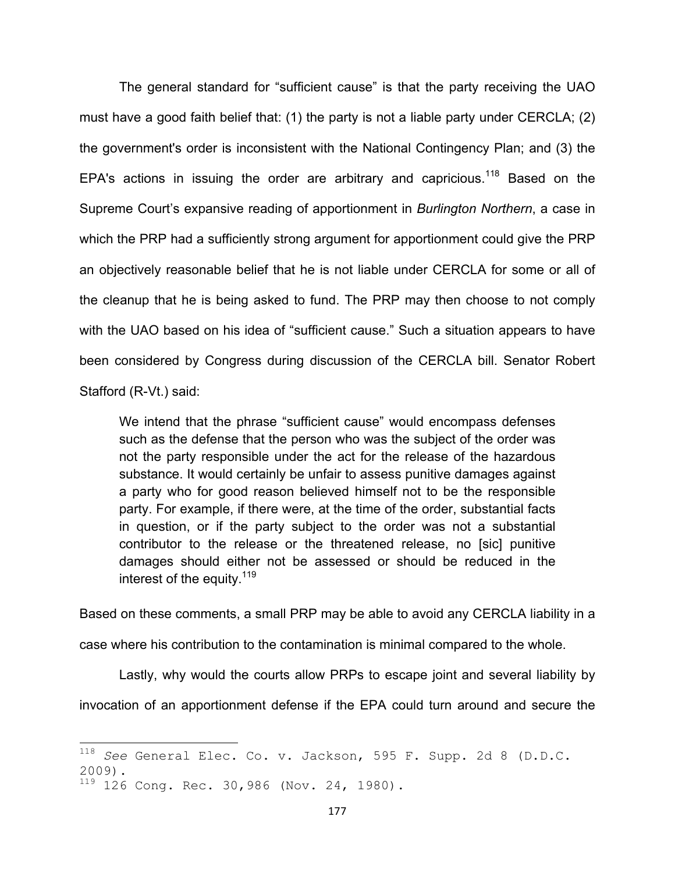The general standard for "sufficient cause" is that the party receiving the UAO must have a good faith belief that: (1) the party is not a liable party under CERCLA; (2) the government's order is inconsistent with the National Contingency Plan; and (3) the EPA's actions in issuing the order are arbitrary and capricious.<sup>118</sup> Based on the Supreme Court's expansive reading of apportionment in *Burlington Northern*, a case in which the PRP had a sufficiently strong argument for apportionment could give the PRP an objectively reasonable belief that he is not liable under CERCLA for some or all of the cleanup that he is being asked to fund. The PRP may then choose to not comply with the UAO based on his idea of "sufficient cause." Such a situation appears to have been considered by Congress during discussion of the CERCLA bill. Senator Robert Stafford (R-Vt.) said:

We intend that the phrase "sufficient cause" would encompass defenses such as the defense that the person who was the subject of the order was not the party responsible under the act for the release of the hazardous substance. It would certainly be unfair to assess punitive damages against a party who for good reason believed himself not to be the responsible party. For example, if there were, at the time of the order, substantial facts in question, or if the party subject to the order was not a substantial contributor to the release or the threatened release, no [sic] punitive damages should either not be assessed or should be reduced in the interest of the equity.<sup>119</sup>

Based on these comments, a small PRP may be able to avoid any CERCLA liability in a case where his contribution to the contamination is minimal compared to the whole.

Lastly, why would the courts allow PRPs to escape joint and several liability by invocation of an apportionment defense if the EPA could turn around and secure the

<sup>&</sup>lt;sup>118</sup> See General Elec. Co. v. Jackson, 595 F. Supp. 2d 8 (D.D.C. 2009).

<sup>119 126</sup> Cong. Rec. 30,986 (Nov. 24, 1980).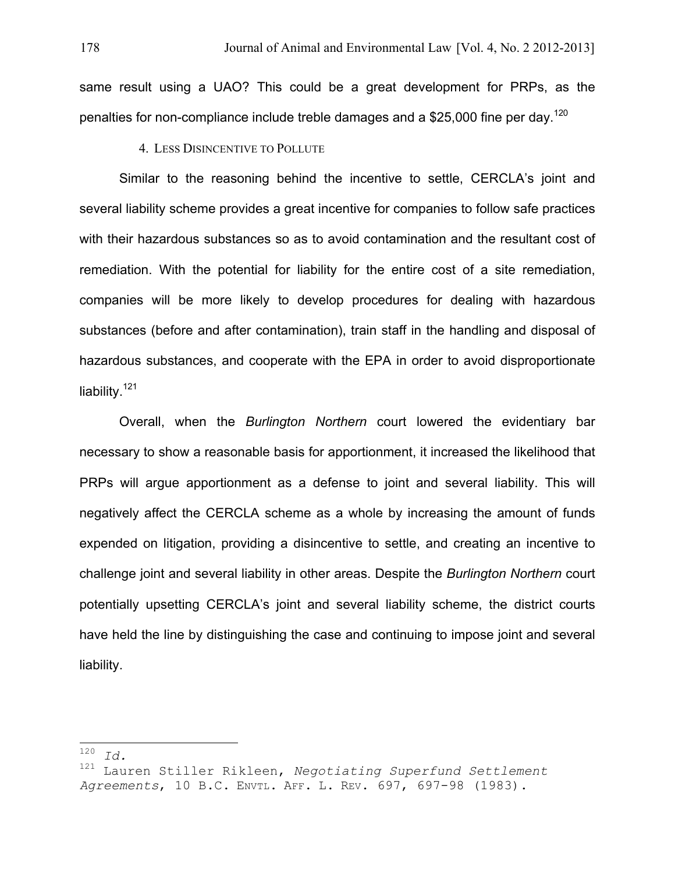same result using a UAO? This could be a great development for PRPs, as the penalties for non-compliance include treble damages and a \$25,000 fine per day.<sup>120</sup>

# 4. LESS DISINCENTIVE TO POLLUTE

Similar to the reasoning behind the incentive to settle, CERCLA's joint and several liability scheme provides a great incentive for companies to follow safe practices with their hazardous substances so as to avoid contamination and the resultant cost of remediation. With the potential for liability for the entire cost of a site remediation, companies will be more likely to develop procedures for dealing with hazardous substances (before and after contamination), train staff in the handling and disposal of hazardous substances, and cooperate with the EPA in order to avoid disproportionate liability.<sup>121</sup>

Overall, when the *Burlington Northern* court lowered the evidentiary bar necessary to show a reasonable basis for apportionment, it increased the likelihood that PRPs will argue apportionment as a defense to joint and several liability. This will negatively affect the CERCLA scheme as a whole by increasing the amount of funds expended on litigation, providing a disincentive to settle, and creating an incentive to challenge joint and several liability in other areas. Despite the *Burlington Northern* court potentially upsetting CERCLA's joint and several liability scheme, the district courts have held the line by distinguishing the case and continuing to impose joint and several liability.

<sup>!!!!!!!!!!!!!!!!!!!!!!!!!!!!!!!!!!!!!!!!!!!!!!!!!!!!!!!!!!!!</sup> <sup>120</sup> *Id.*

<sup>121</sup> Lauren Stiller Rikleen, *Negotiating Superfund Settlement Agreements*, 10 B.C. ENVTL. AFF. L. REV. 697, 697-98 (1983).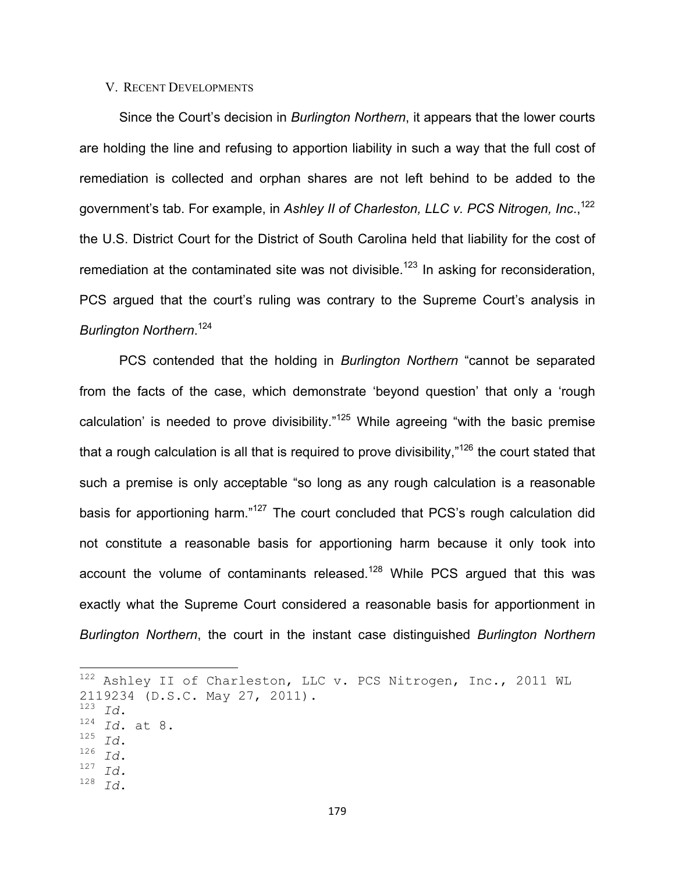### V. RECENT DEVELOPMENTS

Since the Court's decision in *Burlington Northern*, it appears that the lower courts are holding the line and refusing to apportion liability in such a way that the full cost of remediation is collected and orphan shares are not left behind to be added to the government's tab. For example, in *Ashley II of Charleston, LLC v. PCS Nitrogen, Inc*., 122 the U.S. District Court for the District of South Carolina held that liability for the cost of remediation at the contaminated site was not divisible.<sup>123</sup> In asking for reconsideration, PCS argued that the court's ruling was contrary to the Supreme Court's analysis in *Burlington Northern*. 124

PCS contended that the holding in *Burlington Northern* "cannot be separated from the facts of the case, which demonstrate 'beyond question' that only a 'rough calculation' is needed to prove divisibility."<sup>125</sup> While agreeing "with the basic premise that a rough calculation is all that is required to prove divisibility," $126$  the court stated that such a premise is only acceptable "so long as any rough calculation is a reasonable basis for apportioning harm."<sup>127</sup> The court concluded that PCS's rough calculation did not constitute a reasonable basis for apportioning harm because it only took into account the volume of contaminants released.<sup>128</sup> While PCS argued that this was exactly what the Supreme Court considered a reasonable basis for apportionment in *Burlington Northern*, the court in the instant case distinguished *Burlington Northern*

 $122$  Ashley II of Charleston, LLC v. PCS Nitrogen, Inc., 2011 WL 2119234 (D.S.C. May 27, 2011).<br> $123$   $77$ <sup>124</sup> *Id*. at 8. <sup>125</sup> *Id*. <sup>126</sup> *Id*. <sup>127</sup> *Id.* <sup>128</sup> *Id*.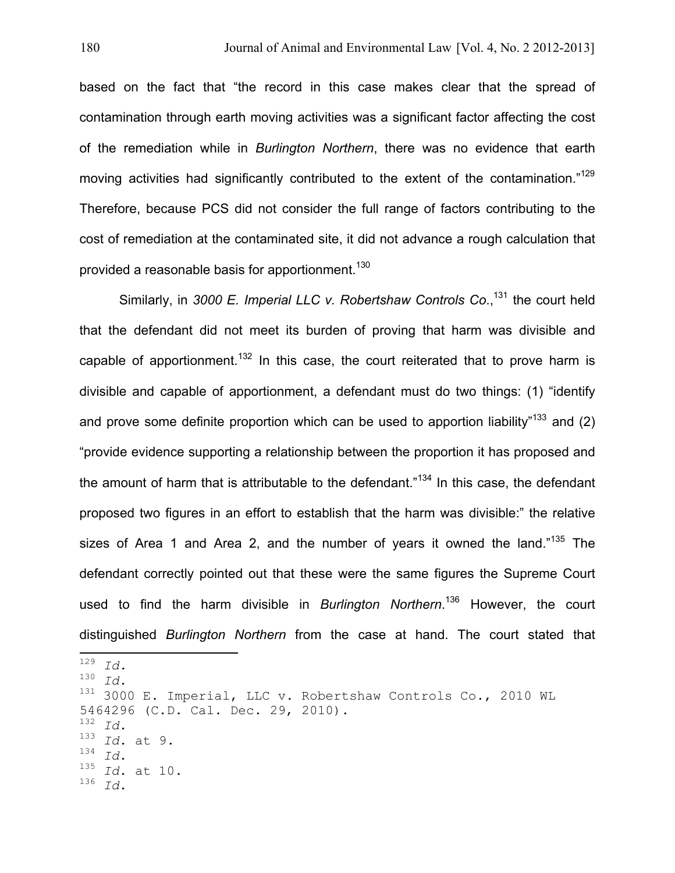based on the fact that "the record in this case makes clear that the spread of contamination through earth moving activities was a significant factor affecting the cost of the remediation while in *Burlington Northern*, there was no evidence that earth moving activities had significantly contributed to the extent of the contamination."<sup>129</sup> Therefore, because PCS did not consider the full range of factors contributing to the cost of remediation at the contaminated site, it did not advance a rough calculation that provided a reasonable basis for apportionment.<sup>130</sup>

Similarly, in *3000 E. Imperial LLC v. Robertshaw Controls Co*., 131 the court held that the defendant did not meet its burden of proving that harm was divisible and capable of apportionment.<sup>132</sup> In this case, the court reiterated that to prove harm is divisible and capable of apportionment, a defendant must do two things: (1) "identify and prove some definite proportion which can be used to apportion liability"<sup>133</sup> and (2) "provide evidence supporting a relationship between the proportion it has proposed and the amount of harm that is attributable to the defendant."<sup>134</sup> In this case, the defendant proposed two figures in an effort to establish that the harm was divisible:" the relative sizes of Area 1 and Area 2, and the number of years it owned the land."<sup>135</sup> The defendant correctly pointed out that these were the same figures the Supreme Court used to find the harm divisible in *Burlington Northern*. 136 However, the court distinguished *Burlington Northern* from the case at hand. The court stated that

 $\frac{129}{129}$  *Id.*  $\frac{130}{130}$  *Id.* 

<sup>131</sup> 3000 E. Imperial, LLC v. Robertshaw Controls Co., 2010 WL 5464296 (C.D. Cal. Dec. 29, 2010).<br> $132 \t77$ <sup>132</sup> *Id*. <sup>133</sup> *Id*. at 9. <sup>134</sup> *Id*.<br><sup>135</sup> *Id*. at 10. <sup>136</sup> *Id*.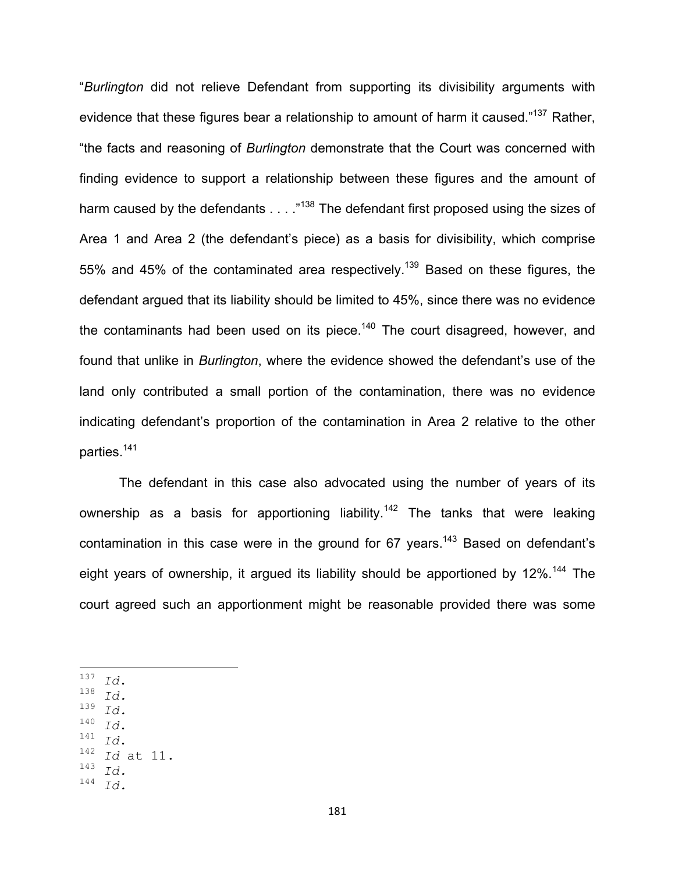"*Burlington* did not relieve Defendant from supporting its divisibility arguments with evidence that these figures bear a relationship to amount of harm it caused."<sup>137</sup> Rather, "the facts and reasoning of *Burlington* demonstrate that the Court was concerned with finding evidence to support a relationship between these figures and the amount of harm caused by the defendants . . . . "<sup>138</sup> The defendant first proposed using the sizes of Area 1 and Area 2 (the defendant's piece) as a basis for divisibility, which comprise 55% and 45% of the contaminated area respectively.<sup>139</sup> Based on these figures, the defendant argued that its liability should be limited to 45%, since there was no evidence the contaminants had been used on its piece.<sup>140</sup> The court disagreed, however, and found that unlike in *Burlington*, where the evidence showed the defendant's use of the land only contributed a small portion of the contamination, there was no evidence indicating defendant's proportion of the contamination in Area 2 relative to the other parties. 141

The defendant in this case also advocated using the number of years of its ownership as a basis for apportioning liability.<sup>142</sup> The tanks that were leaking contamination in this case were in the ground for  $67$  years.<sup>143</sup> Based on defendant's eight years of ownership, it argued its liability should be apportioned by 12%.<sup>144</sup> The court agreed such an apportionment might be reasonable provided there was some

- $\begin{array}{cc} 137 & \text{Id.} \\ 138 & \text{Id.} \\ 139 & \text{Id.} \end{array}$
- 
- $\begin{array}{cc} 139 & \text{Id.} \\ 140 & \text{Id.} \end{array}$
- 
- <sup>140</sup> *Id*.<br><sup>141</sup> *Id*.<br><sup>142</sup> *Id* at 11.<br><sup>143</sup> *Id*
- <sup>143</sup> *Id.*
- <sup>144</sup> *Id.*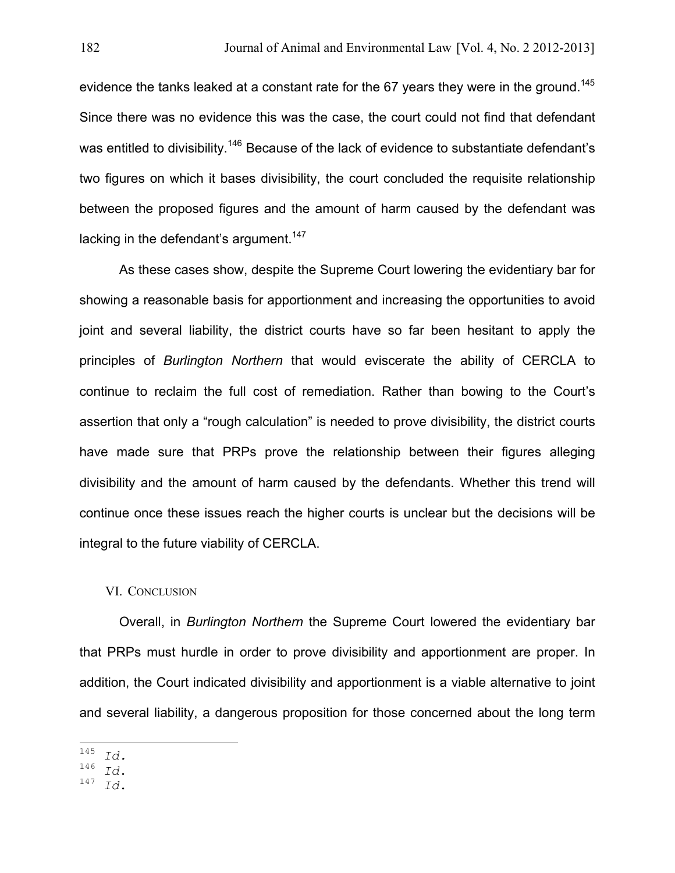evidence the tanks leaked at a constant rate for the 67 years they were in the ground.<sup>145</sup> Since there was no evidence this was the case, the court could not find that defendant was entitled to divisibility.<sup>146</sup> Because of the lack of evidence to substantiate defendant's two figures on which it bases divisibility, the court concluded the requisite relationship between the proposed figures and the amount of harm caused by the defendant was lacking in the defendant's argument.<sup>147</sup>

As these cases show, despite the Supreme Court lowering the evidentiary bar for showing a reasonable basis for apportionment and increasing the opportunities to avoid joint and several liability, the district courts have so far been hesitant to apply the principles of *Burlington Northern* that would eviscerate the ability of CERCLA to continue to reclaim the full cost of remediation. Rather than bowing to the Court's assertion that only a "rough calculation" is needed to prove divisibility, the district courts have made sure that PRPs prove the relationship between their figures alleging divisibility and the amount of harm caused by the defendants. Whether this trend will continue once these issues reach the higher courts is unclear but the decisions will be integral to the future viability of CERCLA.

## VI. CONCLUSION

Overall, in *Burlington Northern* the Supreme Court lowered the evidentiary bar that PRPs must hurdle in order to prove divisibility and apportionment are proper. In addition, the Court indicated divisibility and apportionment is a viable alternative to joint and several liability, a dangerous proposition for those concerned about the long term

<sup>145</sup> *Id.*  $\blacksquare$ 

<sup>146</sup> *Id*. <sup>147</sup> *Id*.